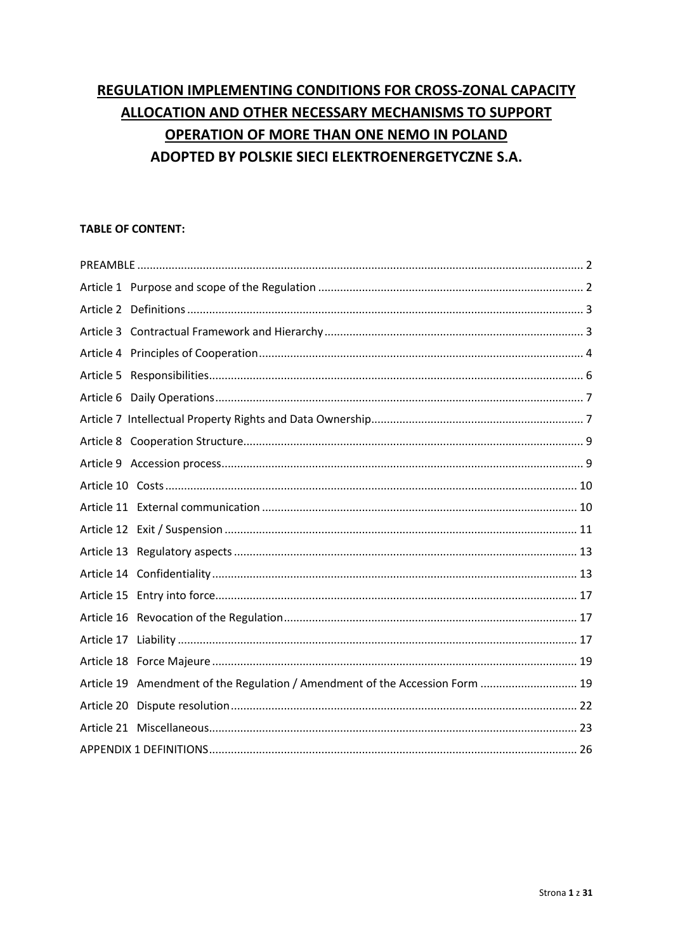# REGULATION IMPLEMENTING CONDITIONS FOR CROSS-ZONAL CAPACITY ALLOCATION AND OTHER NECESSARY MECHANISMS TO SUPPORT OPERATION OF MORE THAN ONE NEMO IN POLAND ADOPTED BY POLSKIE SIECI ELEKTROENERGETYCZNE S.A.

# **TABLE OF CONTENT:**

| Article 5                                                                    |  |
|------------------------------------------------------------------------------|--|
|                                                                              |  |
|                                                                              |  |
|                                                                              |  |
|                                                                              |  |
|                                                                              |  |
|                                                                              |  |
|                                                                              |  |
|                                                                              |  |
|                                                                              |  |
|                                                                              |  |
|                                                                              |  |
|                                                                              |  |
|                                                                              |  |
| Article 19 Amendment of the Regulation / Amendment of the Accession Form  19 |  |
|                                                                              |  |
|                                                                              |  |
|                                                                              |  |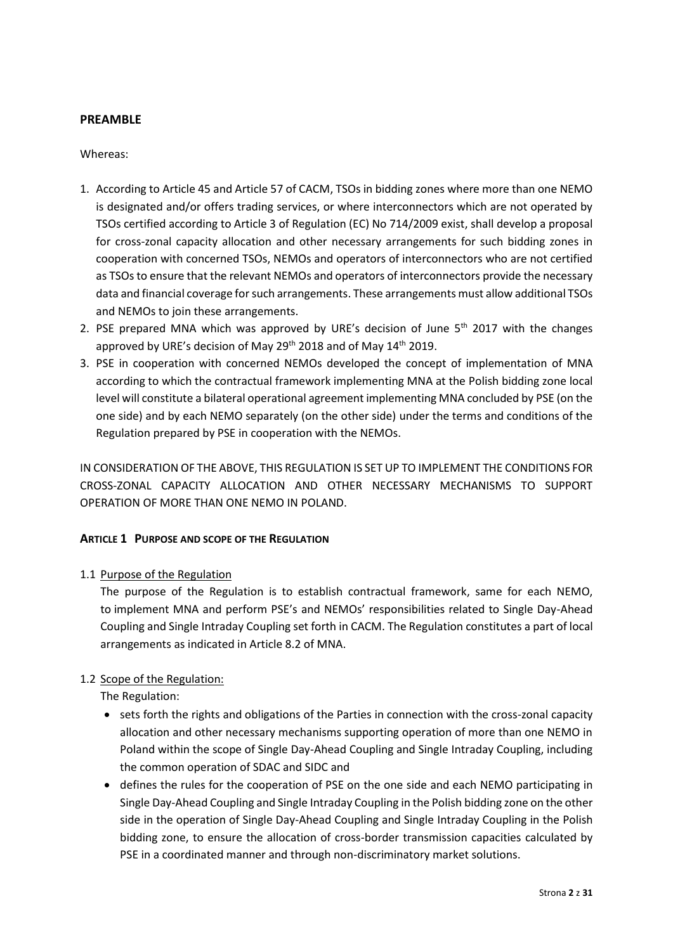## <span id="page-1-0"></span>**PREAMBLE**

## Whereas:

- 1. According to Article 45 and Article 57 of CACM, TSOs in bidding zones where more than one NEMO is designated and/or offers trading services, or where interconnectors which are not operated by TSOs certified according to Article 3 of Regulation (EC) No 714/2009 exist, shall develop a proposal for cross-zonal capacity allocation and other necessary arrangements for such bidding zones in cooperation with concerned TSOs, NEMOs and operators of interconnectors who are not certified as TSOs to ensure that the relevant NEMOs and operators of interconnectors provide the necessary data and financial coverage for such arrangements. These arrangements must allow additional TSOs and NEMOs to join these arrangements.
- 2. PSE prepared MNA which was approved by URE's decision of June  $5<sup>th</sup>$  2017 with the changes approved by URE's decision of May 29<sup>th</sup> 2018 and of May 14<sup>th</sup> 2019.
- 3. PSE in cooperation with concerned NEMOs developed the concept of implementation of MNA according to which the contractual framework implementing MNA at the Polish bidding zone local level will constitute a bilateral operational agreement implementing MNA concluded by PSE (on the one side) and by each NEMO separately (on the other side) under the terms and conditions of the Regulation prepared by PSE in cooperation with the NEMOs.

IN CONSIDERATION OF THE ABOVE, THIS REGULATION IS SET UP TO IMPLEMENT THE CONDITIONS FOR CROSS-ZONAL CAPACITY ALLOCATION AND OTHER NECESSARY MECHANISMS TO SUPPORT OPERATION OF MORE THAN ONE NEMO IN POLAND.

# <span id="page-1-1"></span>**ARTICLE 1 PURPOSE AND SCOPE OF THE REGULATION**

# 1.1 Purpose of the Regulation

The purpose of the Regulation is to establish contractual framework, same for each NEMO, to implement MNA and perform PSE's and NEMOs' responsibilities related to Single Day-Ahead Coupling and Single Intraday Coupling set forth in CACM. The Regulation constitutes a part of local arrangements as indicated in Article 8.2 of MNA.

# 1.2 Scope of the Regulation:

The Regulation:

- sets forth the rights and obligations of the Parties in connection with the cross-zonal capacity allocation and other necessary mechanisms supporting operation of more than one NEMO in Poland within the scope of Single Day-Ahead Coupling and Single Intraday Coupling, including the common operation of SDAC and SIDC and
- defines the rules for the cooperation of PSE on the one side and each NEMO participating in Single Day-Ahead Coupling and Single Intraday Coupling in the Polish bidding zone on the other side in the operation of Single Day-Ahead Coupling and Single Intraday Coupling in the Polish bidding zone, to ensure the allocation of cross-border transmission capacities calculated by PSE in a coordinated manner and through non-discriminatory market solutions.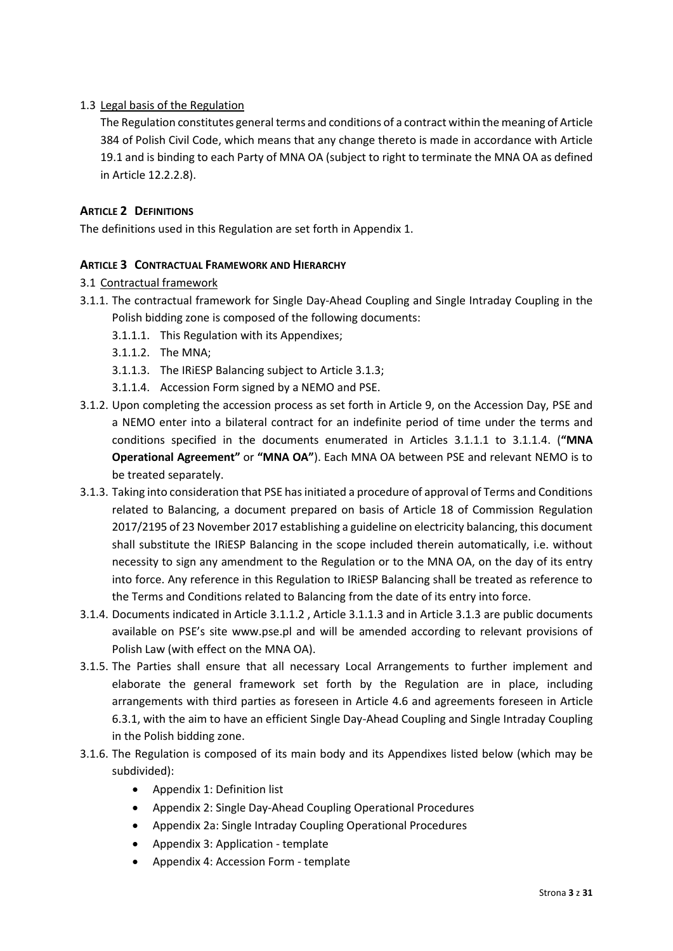# 1.3 Legal basis of the Regulation

The Regulation constitutes general terms and conditions of a contract within the meaning of Article 384 of Polish Civil Code, which means that any change thereto is made in accordance with Article 19.1 and is binding to each Party of MNA OA (subject to right to terminate the MNA OA as defined in Article 12.2.2.8).

## <span id="page-2-0"></span>**ARTICLE 2 DEFINITIONS**

The definitions used in this Regulation are set forth in Appendix 1.

## <span id="page-2-1"></span>**ARTICLE 3 CONTRACTUAL FRAMEWORK AND HIERARCHY**

## 3.1 Contractual framework

- 3.1.1. The contractual framework for Single Day-Ahead Coupling and Single Intraday Coupling in the Polish bidding zone is composed of the following documents:
	- 3.1.1.1. This Regulation with its Appendixes;
	- 3.1.1.2. The MNA;
	- 3.1.1.3. The IRiESP Balancing subject to Article 3.1.3;
	- 3.1.1.4. Accession Form signed by a NEMO and PSE.
- 3.1.2. Upon completing the accession process as set forth in Article 9, on the Accession Day, PSE and a NEMO enter into a bilateral contract for an indefinite period of time under the terms and conditions specified in the documents enumerated in Articles 3.1.1.1 to 3.1.1.4. (**"MNA Operational Agreement"** or **"MNA OA"**). Each MNA OA between PSE and relevant NEMO is to be treated separately.
- 3.1.3. Taking into consideration that PSE has initiated a procedure of approval of Terms and Conditions related to Balancing, a document prepared on basis of Article 18 of Commission Regulation 2017/2195 of 23 November 2017 establishing a guideline on electricity balancing, this document shall substitute the IRiESP Balancing in the scope included therein automatically, i.e. without necessity to sign any amendment to the Regulation or to the MNA OA, on the day of its entry into force. Any reference in this Regulation to IRiESP Balancing shall be treated as reference to the Terms and Conditions related to Balancing from the date of its entry into force.
- 3.1.4. Documents indicated in Article 3.1.1.2 , Article 3.1.1.3 and in Article 3.1.3 are public documents available on PSE's site www.pse.pl and will be amended according to relevant provisions of Polish Law (with effect on the MNA OA).
- 3.1.5. The Parties shall ensure that all necessary Local Arrangements to further implement and elaborate the general framework set forth by the Regulation are in place, including arrangements with third parties as foreseen in Article 4.6 and agreements foreseen in Article 6.3.1, with the aim to have an efficient Single Day-Ahead Coupling and Single Intraday Coupling in the Polish bidding zone.
- 3.1.6. The Regulation is composed of its main body and its Appendixes listed below (which may be subdivided):
	- Appendix 1: Definition list
	- Appendix 2: Single Day-Ahead Coupling Operational Procedures
	- Appendix 2a: Single Intraday Coupling Operational Procedures
	- Appendix 3: Application template
	- Appendix 4: Accession Form template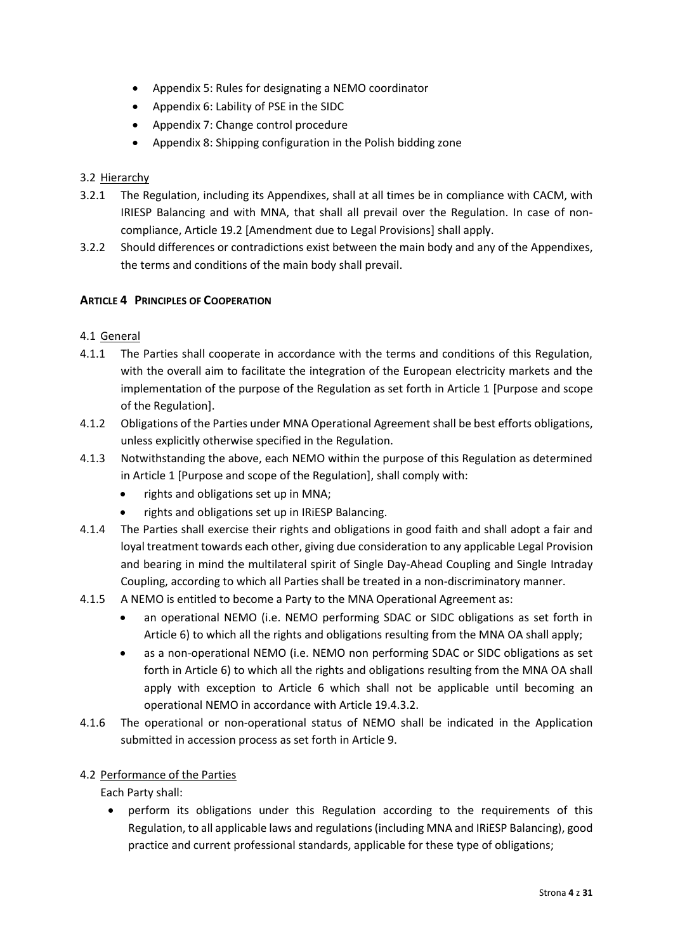- Appendix 5: Rules for designating a NEMO coordinator
- Appendix 6: Lability of PSE in the SIDC
- Appendix 7: Change control procedure
- Appendix 8: Shipping configuration in the Polish bidding zone

## 3.2 Hierarchy

- 3.2.1 The Regulation, including its Appendixes, shall at all times be in compliance with CACM, with IRIESP Balancing and with MNA, that shall all prevail over the Regulation. In case of noncompliance, Article 19.2 [Amendment due to Legal Provisions] shall apply.
- 3.2.2 Should differences or contradictions exist between the main body and any of the Appendixes, the terms and conditions of the main body shall prevail.

## <span id="page-3-0"></span>**ARTICLE 4 PRINCIPLES OF COOPERATION**

- 4.1 General
- 4.1.1 The Parties shall cooperate in accordance with the terms and conditions of this Regulation, with the overall aim to facilitate the integration of the European electricity markets and the implementation of the purpose of the Regulation as set forth in Article 1 [Purpose and scope of the Regulation].
- 4.1.2 Obligations of the Parties under MNA Operational Agreement shall be best efforts obligations, unless explicitly otherwise specified in the Regulation.
- 4.1.3 Notwithstanding the above, each NEMO within the purpose of this Regulation as determined in Article 1 [Purpose and scope of the Regulation], shall comply with:
	- rights and obligations set up in MNA;
	- rights and obligations set up in IRiESP Balancing.
- 4.1.4 The Parties shall exercise their rights and obligations in good faith and shall adopt a fair and loyal treatment towards each other, giving due consideration to any applicable Legal Provision and bearing in mind the multilateral spirit of Single Day-Ahead Coupling and Single Intraday Coupling, according to which all Parties shall be treated in a non-discriminatory manner.
- 4.1.5 A NEMO is entitled to become a Party to the MNA Operational Agreement as:
	- an operational NEMO (i.e. NEMO performing SDAC or SIDC obligations as set forth in Article 6) to which all the rights and obligations resulting from the MNA OA shall apply;
	- as a non-operational NEMO (i.e. NEMO non performing SDAC or SIDC obligations as set forth in Article 6) to which all the rights and obligations resulting from the MNA OA shall apply with exception to Article 6 which shall not be applicable until becoming an operational NEMO in accordance with Article 19.4.3.2.
- 4.1.6 The operational or non-operational status of NEMO shall be indicated in the Application submitted in accession process as set forth in Article 9.

## 4.2 Performance of the Parties

- Each Party shall:
	- perform its obligations under this Regulation according to the requirements of this Regulation, to all applicable laws and regulations(including MNA and IRiESP Balancing), good practice and current professional standards, applicable for these type of obligations;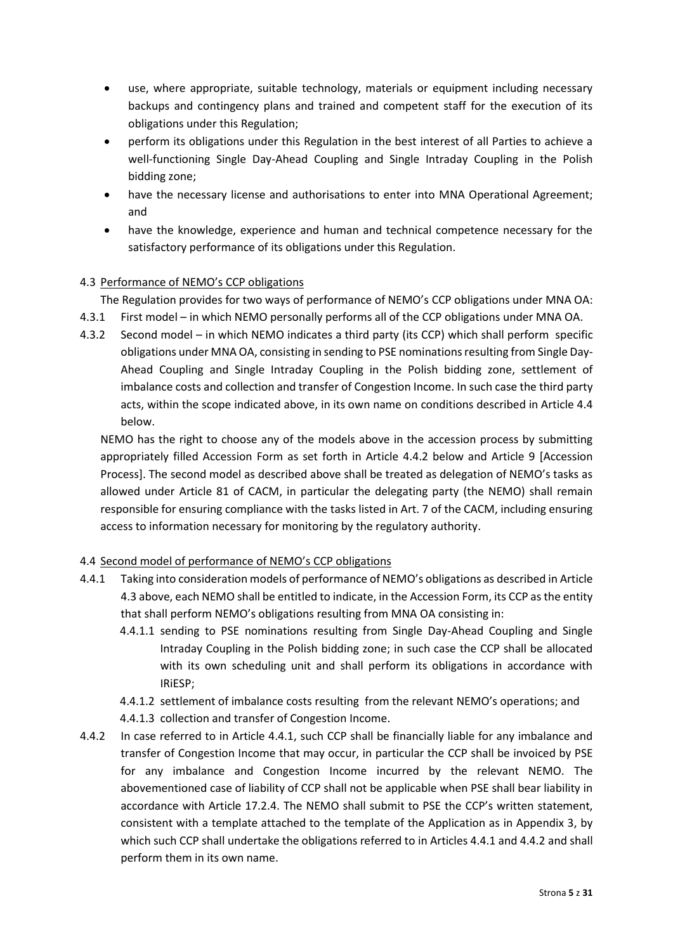- use, where appropriate, suitable technology, materials or equipment including necessary backups and contingency plans and trained and competent staff for the execution of its obligations under this Regulation;
- perform its obligations under this Regulation in the best interest of all Parties to achieve a well-functioning Single Day-Ahead Coupling and Single Intraday Coupling in the Polish bidding zone;
- have the necessary license and authorisations to enter into MNA Operational Agreement; and
- have the knowledge, experience and human and technical competence necessary for the satisfactory performance of its obligations under this Regulation.

# 4.3 Performance of NEMO's CCP obligations

The Regulation provides for two ways of performance of NEMO's CCP obligations under MNA OA:

- 4.3.1 First model in which NEMO personally performs all of the CCP obligations under MNA OA.
- 4.3.2 Second model in which NEMO indicates a third party (its CCP) which shall perform specific obligations under MNA OA, consisting in sending to PSE nominations resulting from Single Day-Ahead Coupling and Single Intraday Coupling in the Polish bidding zone, settlement of imbalance costs and collection and transfer of Congestion Income. In such case the third party acts, within the scope indicated above, in its own name on conditions described in Article 4.4 below.

NEMO has the right to choose any of the models above in the accession process by submitting appropriately filled Accession Form as set forth in Article 4.4.2 below and Article 9 [Accession Process]. The second model as described above shall be treated as delegation of NEMO's tasks as allowed under Article 81 of CACM, in particular the delegating party (the NEMO) shall remain responsible for ensuring compliance with the tasks listed in Art. 7 of the CACM, including ensuring access to information necessary for monitoring by the regulatory authority.

# 4.4 Second model of performance of NEMO's CCP obligations

- 4.4.1 Taking into consideration models of performance of NEMO's obligations as described in Article 4.3 above, each NEMO shall be entitled to indicate, in the Accession Form, its CCP as the entity that shall perform NEMO's obligations resulting from MNA OA consisting in:
	- 4.4.1.1 sending to PSE nominations resulting from Single Day-Ahead Coupling and Single Intraday Coupling in the Polish bidding zone; in such case the CCP shall be allocated with its own scheduling unit and shall perform its obligations in accordance with IRiESP;

4.4.1.2 settlement of imbalance costs resulting from the relevant NEMO's operations; and 4.4.1.3 collection and transfer of Congestion Income.

4.4.2 In case referred to in Article 4.4.1, such CCP shall be financially liable for any imbalance and transfer of Congestion Income that may occur, in particular the CCP shall be invoiced by PSE for any imbalance and Congestion Income incurred by the relevant NEMO. The abovementioned case of liability of CCP shall not be applicable when PSE shall bear liability in accordance with Article 17.2.4. The NEMO shall submit to PSE the CCP's written statement, consistent with a template attached to the template of the Application as in Appendix 3, by which such CCP shall undertake the obligations referred to in Articles 4.4.1 and 4.4.2 and shall perform them in its own name.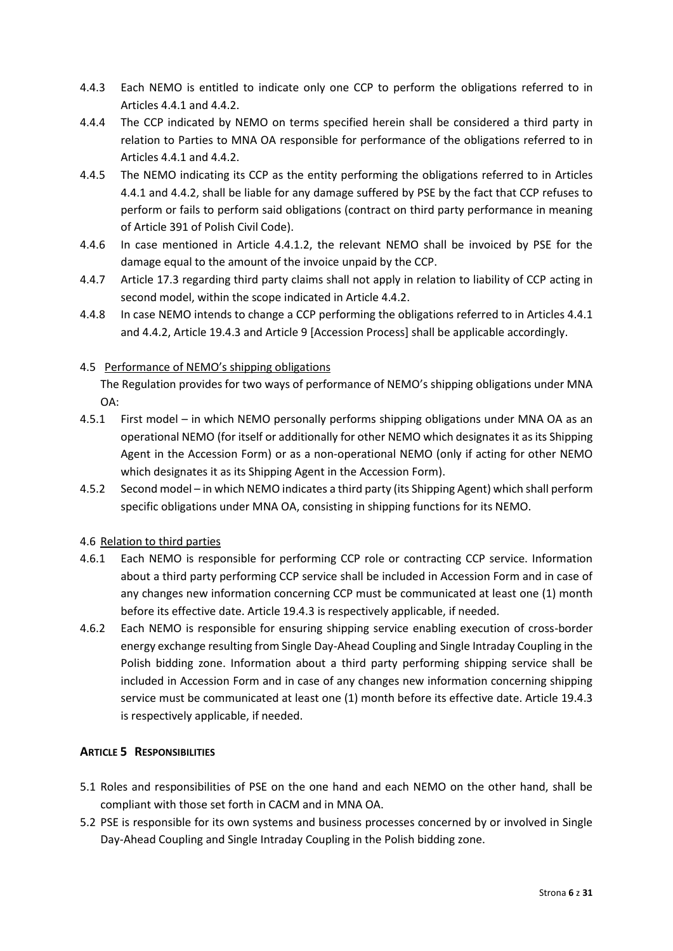- 4.4.3 Each NEMO is entitled to indicate only one CCP to perform the obligations referred to in Articles 4.4.1 and 4.4.2.
- 4.4.4 The CCP indicated by NEMO on terms specified herein shall be considered a third party in relation to Parties to MNA OA responsible for performance of the obligations referred to in Articles 4.4.1 and 4.4.2.
- 4.4.5 The NEMO indicating its CCP as the entity performing the obligations referred to in Articles 4.4.1 and 4.4.2, shall be liable for any damage suffered by PSE by the fact that CCP refuses to perform or fails to perform said obligations (contract on third party performance in meaning of Article 391 of Polish Civil Code).
- 4.4.6 In case mentioned in Article 4.4.1.2, the relevant NEMO shall be invoiced by PSE for the damage equal to the amount of the invoice unpaid by the CCP.
- 4.4.7 Article 17.3 regarding third party claims shall not apply in relation to liability of CCP acting in second model, within the scope indicated in Article 4.4.2.
- 4.4.8 In case NEMO intends to change a CCP performing the obligations referred to in Articles 4.4.1 and 4.4.2, Article 19.4.3 and Article 9 [Accession Process] shall be applicable accordingly.

# 4.5 Performance of NEMO's shipping obligations

The Regulation provides for two ways of performance of NEMO's shipping obligations under MNA OA:

- 4.5.1 First model in which NEMO personally performs shipping obligations under MNA OA as an operational NEMO (for itself or additionally for other NEMO which designates it as its Shipping Agent in the Accession Form) or as a non-operational NEMO (only if acting for other NEMO which designates it as its Shipping Agent in the Accession Form).
- 4.5.2 Second model in which NEMO indicates a third party (its Shipping Agent) which shall perform specific obligations under MNA OA, consisting in shipping functions for its NEMO.

# 4.6 Relation to third parties

- 4.6.1 Each NEMO is responsible for performing CCP role or contracting CCP service. Information about a third party performing CCP service shall be included in Accession Form and in case of any changes new information concerning CCP must be communicated at least one (1) month before its effective date. Article 19.4.3 is respectively applicable, if needed.
- 4.6.2 Each NEMO is responsible for ensuring shipping service enabling execution of cross-border energy exchange resulting from Single Day-Ahead Coupling and Single Intraday Coupling in the Polish bidding zone. Information about a third party performing shipping service shall be included in Accession Form and in case of any changes new information concerning shipping service must be communicated at least one (1) month before its effective date. Article 19.4.3 is respectively applicable, if needed.

# <span id="page-5-0"></span>**ARTICLE 5 RESPONSIBILITIES**

- 5.1 Roles and responsibilities of PSE on the one hand and each NEMO on the other hand, shall be compliant with those set forth in CACM and in MNA OA.
- 5.2 PSE is responsible for its own systems and business processes concerned by or involved in Single Day-Ahead Coupling and Single Intraday Coupling in the Polish bidding zone.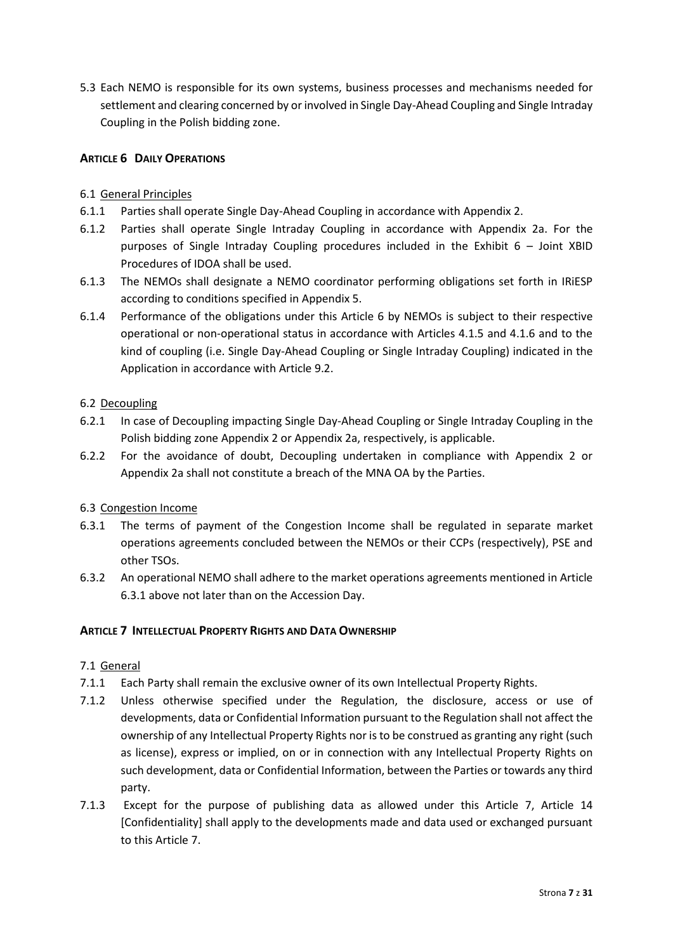5.3 Each NEMO is responsible for its own systems, business processes and mechanisms needed for settlement and clearing concerned by or involved in Single Day-Ahead Coupling and Single Intraday Coupling in the Polish bidding zone.

# <span id="page-6-0"></span>**ARTICLE 6 DAILY OPERATIONS**

# 6.1 General Principles

- 6.1.1 Parties shall operate Single Day-Ahead Coupling in accordance with Appendix 2.
- 6.1.2 Parties shall operate Single Intraday Coupling in accordance with Appendix 2a. For the purposes of Single Intraday Coupling procedures included in the Exhibit 6 – Joint XBID Procedures of IDOA shall be used.
- 6.1.3 The NEMOs shall designate a NEMO coordinator performing obligations set forth in IRiESP according to conditions specified in Appendix 5.
- 6.1.4 Performance of the obligations under this Article 6 by NEMOs is subject to their respective operational or non-operational status in accordance with Articles 4.1.5 and 4.1.6 and to the kind of coupling (i.e. Single Day-Ahead Coupling or Single Intraday Coupling) indicated in the Application in accordance with Article 9.2.

# 6.2 Decoupling

- 6.2.1 In case of Decoupling impacting Single Day-Ahead Coupling or Single Intraday Coupling in the Polish bidding zone Appendix 2 or Appendix 2a, respectively, is applicable.
- 6.2.2 For the avoidance of doubt, Decoupling undertaken in compliance with Appendix 2 or Appendix 2a shall not constitute a breach of the MNA OA by the Parties.

# 6.3 Congestion Income

- 6.3.1 The terms of payment of the Congestion Income shall be regulated in separate market operations agreements concluded between the NEMOs or their CCPs (respectively), PSE and other TSOs.
- 6.3.2 An operational NEMO shall adhere to the market operations agreements mentioned in Article 6.3.1 above not later than on the Accession Day.

# <span id="page-6-1"></span>**ARTICLE 7 INTELLECTUAL PROPERTY RIGHTS AND DATA OWNERSHIP**

# 7.1 General

- 7.1.1 Each Party shall remain the exclusive owner of its own Intellectual Property Rights.
- 7.1.2 Unless otherwise specified under the Regulation, the disclosure, access or use of developments, data or Confidential Information pursuant to the Regulation shall not affect the ownership of any Intellectual Property Rights nor is to be construed as granting any right (such as license), express or implied, on or in connection with any Intellectual Property Rights on such development, data or Confidential Information, between the Parties or towards any third party.
- 7.1.3 Except for the purpose of publishing data as allowed under this Article 7, Article 14 [Confidentiality] shall apply to the developments made and data used or exchanged pursuant to this Article 7.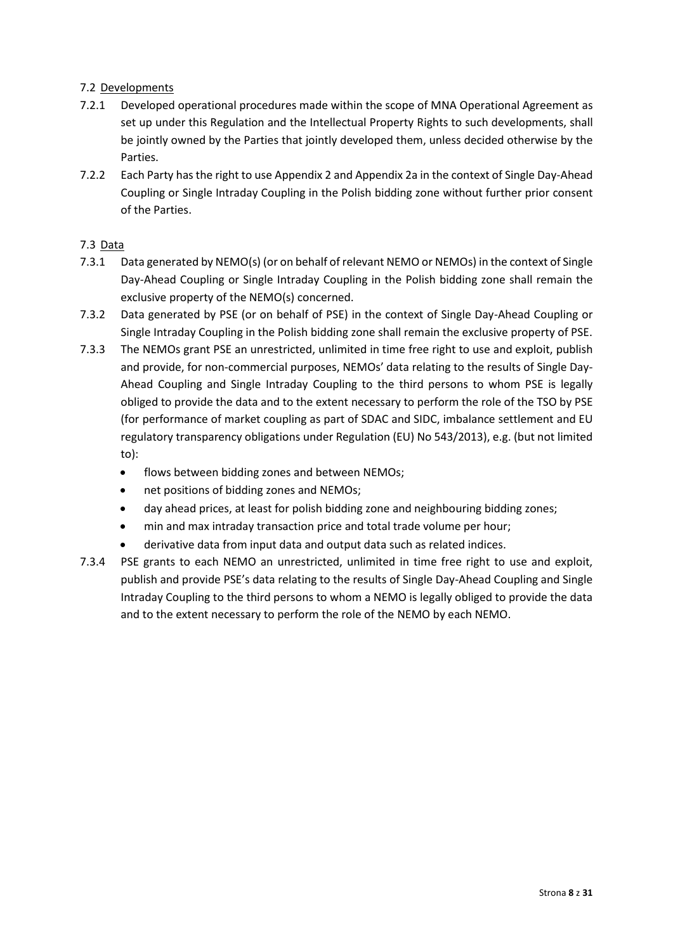## 7.2 Developments

- 7.2.1 Developed operational procedures made within the scope of MNA Operational Agreement as set up under this Regulation and the Intellectual Property Rights to such developments, shall be jointly owned by the Parties that jointly developed them, unless decided otherwise by the Parties.
- 7.2.2 Each Party has the right to use Appendix 2 and Appendix 2a in the context of Single Day-Ahead Coupling or Single Intraday Coupling in the Polish bidding zone without further prior consent of the Parties.

## 7.3 Data

- 7.3.1 Data generated by NEMO(s) (or on behalf of relevant NEMO or NEMOs) in the context of Single Day-Ahead Coupling or Single Intraday Coupling in the Polish bidding zone shall remain the exclusive property of the NEMO(s) concerned.
- 7.3.2 Data generated by PSE (or on behalf of PSE) in the context of Single Day-Ahead Coupling or Single Intraday Coupling in the Polish bidding zone shall remain the exclusive property of PSE.
- 7.3.3 The NEMOs grant PSE an unrestricted, unlimited in time free right to use and exploit, publish and provide, for non-commercial purposes, NEMOs' data relating to the results of Single Day-Ahead Coupling and Single Intraday Coupling to the third persons to whom PSE is legally obliged to provide the data and to the extent necessary to perform the role of the TSO by PSE (for performance of market coupling as part of SDAC and SIDC, imbalance settlement and EU regulatory transparency obligations under Regulation (EU) No 543/2013), e.g. (but not limited to):
	- flows between bidding zones and between NEMOs;
	- net positions of bidding zones and NEMOs;
	- day ahead prices, at least for polish bidding zone and neighbouring bidding zones;
	- min and max intraday transaction price and total trade volume per hour;
	- derivative data from input data and output data such as related indices.
- 7.3.4 PSE grants to each NEMO an unrestricted, unlimited in time free right to use and exploit, publish and provide PSE's data relating to the results of Single Day-Ahead Coupling and Single Intraday Coupling to the third persons to whom a NEMO is legally obliged to provide the data and to the extent necessary to perform the role of the NEMO by each NEMO.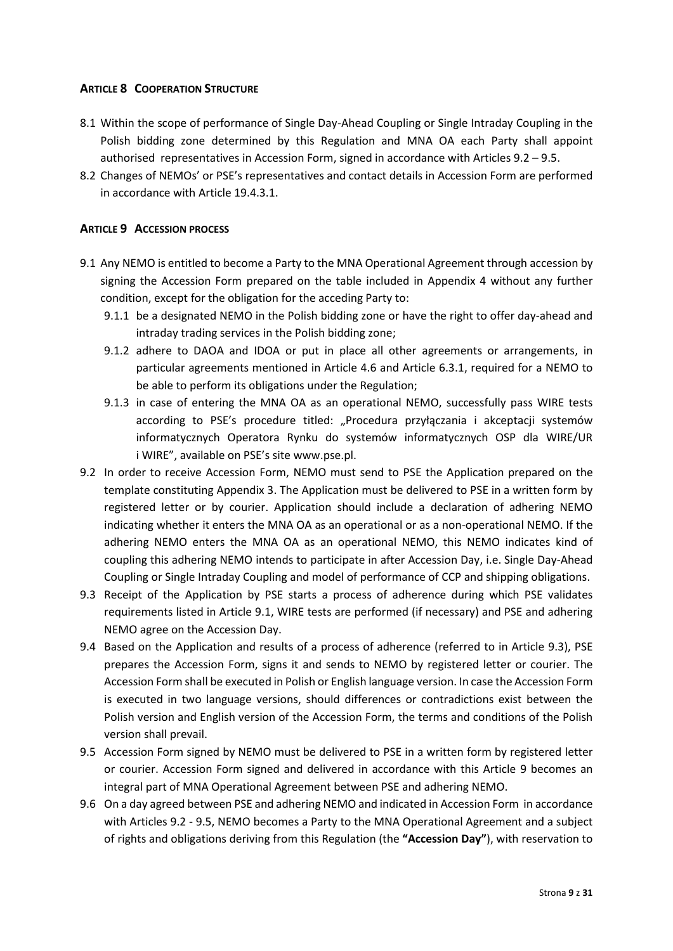## <span id="page-8-0"></span>**ARTICLE 8 COOPERATION STRUCTURE**

- 8.1 Within the scope of performance of Single Day-Ahead Coupling or Single Intraday Coupling in the Polish bidding zone determined by this Regulation and MNA OA each Party shall appoint authorised representatives in Accession Form, signed in accordance with Articles 9.2 – 9.5.
- 8.2 Changes of NEMOs' or PSE's representatives and contact details in Accession Form are performed in accordance with Article 19.4.3.1.

## <span id="page-8-1"></span>**ARTICLE 9 ACCESSION PROCESS**

- 9.1 Any NEMO is entitled to become a Party to the MNA Operational Agreement through accession by signing the Accession Form prepared on the table included in Appendix 4 without any further condition, except for the obligation for the acceding Party to:
	- 9.1.1 be a designated NEMO in the Polish bidding zone or have the right to offer day-ahead and intraday trading services in the Polish bidding zone;
	- 9.1.2 adhere to DAOA and IDOA or put in place all other agreements or arrangements, in particular agreements mentioned in Article 4.6 and Article 6.3.1, required for a NEMO to be able to perform its obligations under the Regulation;
	- 9.1.3 in case of entering the MNA OA as an operational NEMO, successfully pass WIRE tests according to PSE's procedure titled: "Procedura przyłączania i akceptacji systemów informatycznych Operatora Rynku do systemów informatycznych OSP dla WIRE/UR i WIRE", available on PSE's sit[e www.pse.pl.](http://www.pse.pl/)
- 9.2 In order to receive Accession Form, NEMO must send to PSE the Application prepared on the template constituting Appendix 3. The Application must be delivered to PSE in a written form by registered letter or by courier. Application should include a declaration of adhering NEMO indicating whether it enters the MNA OA as an operational or as a non-operational NEMO. If the adhering NEMO enters the MNA OA as an operational NEMO, this NEMO indicates kind of coupling this adhering NEMO intends to participate in after Accession Day, i.e. Single Day-Ahead Coupling or Single Intraday Coupling and model of performance of CCP and shipping obligations.
- 9.3 Receipt of the Application by PSE starts a process of adherence during which PSE validates requirements listed in Article 9.1, WIRE tests are performed (if necessary) and PSE and adhering NEMO agree on the Accession Day.
- 9.4 Based on the Application and results of a process of adherence (referred to in Article 9.3), PSE prepares the Accession Form, signs it and sends to NEMO by registered letter or courier. The Accession Form shall be executed in Polish or English language version. In case the Accession Form is executed in two language versions, should differences or contradictions exist between the Polish version and English version of the Accession Form, the terms and conditions of the Polish version shall prevail.
- 9.5 Accession Form signed by NEMO must be delivered to PSE in a written form by registered letter or courier. Accession Form signed and delivered in accordance with this Article 9 becomes an integral part of MNA Operational Agreement between PSE and adhering NEMO.
- 9.6 On a day agreed between PSE and adhering NEMO and indicated in Accession Form in accordance with Articles 9.2 - 9.5, NEMO becomes a Party to the MNA Operational Agreement and a subject of rights and obligations deriving from this Regulation (the **"Accession Day"**), with reservation to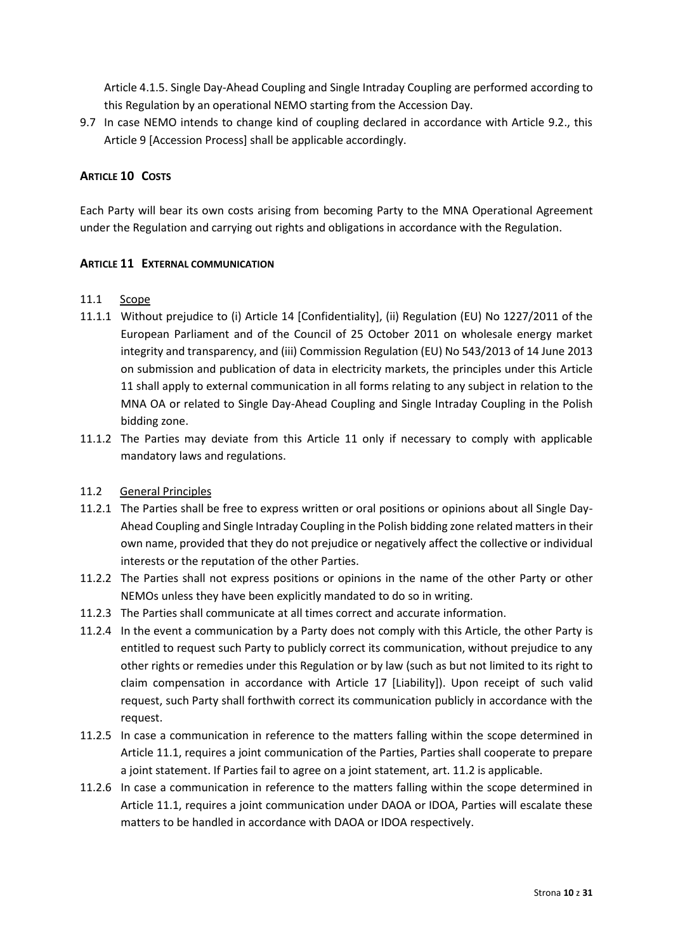Article 4.1.5. Single Day-Ahead Coupling and Single Intraday Coupling are performed according to this Regulation by an operational NEMO starting from the Accession Day.

9.7 In case NEMO intends to change kind of coupling declared in accordance with Article 9.2., this Article 9 [Accession Process] shall be applicable accordingly.

## <span id="page-9-0"></span>**ARTICLE 10 COSTS**

Each Party will bear its own costs arising from becoming Party to the MNA Operational Agreement under the Regulation and carrying out rights and obligations in accordance with the Regulation.

## <span id="page-9-1"></span>**ARTICLE 11 EXTERNAL COMMUNICATION**

#### 11.1 Scope

- 11.1.1 Without prejudice to (i) Article 14 [Confidentiality], (ii) Regulation (EU) No 1227/2011 of the European Parliament and of the Council of 25 October 2011 on wholesale energy market integrity and transparency, and (iii) Commission Regulation (EU) No 543/2013 of 14 June 2013 on submission and publication of data in electricity markets, the principles under this Article 11 shall apply to external communication in all forms relating to any subject in relation to the MNA OA or related to Single Day-Ahead Coupling and Single Intraday Coupling in the Polish bidding zone.
- 11.1.2 The Parties may deviate from this Article 11 only if necessary to comply with applicable mandatory laws and regulations.

## 11.2 General Principles

- 11.2.1 The Parties shall be free to express written or oral positions or opinions about all Single Day-Ahead Coupling and Single Intraday Coupling in the Polish bidding zone related matters in their own name, provided that they do not prejudice or negatively affect the collective or individual interests or the reputation of the other Parties.
- 11.2.2 The Parties shall not express positions or opinions in the name of the other Party or other NEMOs unless they have been explicitly mandated to do so in writing.
- 11.2.3 The Parties shall communicate at all times correct and accurate information.
- 11.2.4 In the event a communication by a Party does not comply with this Article, the other Party is entitled to request such Party to publicly correct its communication, without prejudice to any other rights or remedies under this Regulation or by law (such as but not limited to its right to claim compensation in accordance with Article 17 [Liability]). Upon receipt of such valid request, such Party shall forthwith correct its communication publicly in accordance with the request.
- 11.2.5 In case a communication in reference to the matters falling within the scope determined in Article 11.1, requires a joint communication of the Parties, Parties shall cooperate to prepare a joint statement. If Parties fail to agree on a joint statement, art. 11.2 is applicable.
- 11.2.6 In case a communication in reference to the matters falling within the scope determined in Article 11.1, requires a joint communication under DAOA or IDOA, Parties will escalate these matters to be handled in accordance with DAOA or IDOA respectively.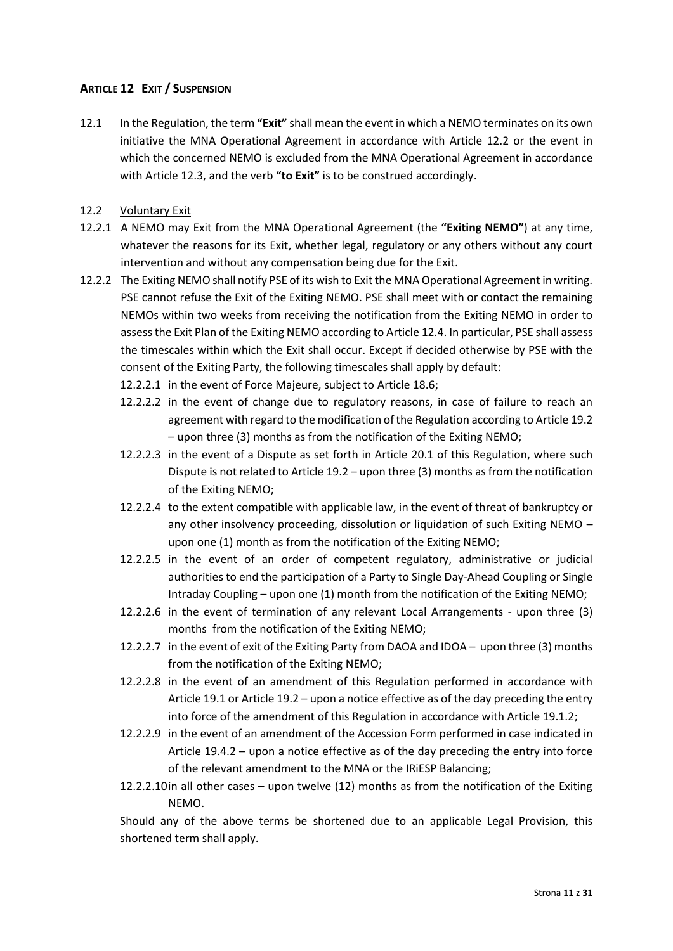## <span id="page-10-0"></span>**ARTICLE 12 EXIT / SUSPENSION**

- 12.1 In the Regulation, the term **"Exit"** shall mean the event in which a NEMO terminates on its own initiative the MNA Operational Agreement in accordance with Article 12.2 or the event in which the concerned NEMO is excluded from the MNA Operational Agreement in accordance with Article 12.3, and the verb **"to Exit"** is to be construed accordingly.
- 12.2 Voluntary Exit
- 12.2.1 A NEMO may Exit from the MNA Operational Agreement (the **"Exiting NEMO"**) at any time, whatever the reasons for its Exit, whether legal, regulatory or any others without any court intervention and without any compensation being due for the Exit.
- 12.2.2 The Exiting NEMO shall notify PSE of its wish to Exit the MNA Operational Agreement in writing. PSE cannot refuse the Exit of the Exiting NEMO. PSE shall meet with or contact the remaining NEMOs within two weeks from receiving the notification from the Exiting NEMO in order to assess the Exit Plan of the Exiting NEMO according to Article 12.4. In particular, PSE shall assess the timescales within which the Exit shall occur. Except if decided otherwise by PSE with the consent of the Exiting Party, the following timescales shall apply by default:
	- 12.2.2.1 in the event of Force Majeure, subject to Article 18.6;
	- 12.2.2.2 in the event of change due to regulatory reasons, in case of failure to reach an agreement with regard to the modification of the Regulation according to Article 19.2 – upon three (3) months as from the notification of the Exiting NEMO;
	- 12.2.2.3 in the event of a Dispute as set forth in Article 20.1 of this Regulation, where such Dispute is not related to Article 19.2 – upon three (3) months as from the notification of the Exiting NEMO;
	- 12.2.2.4 to the extent compatible with applicable law, in the event of threat of bankruptcy or any other insolvency proceeding, dissolution or liquidation of such Exiting NEMO – upon one (1) month as from the notification of the Exiting NEMO;
	- 12.2.2.5 in the event of an order of competent regulatory, administrative or judicial authorities to end the participation of a Party to Single Day-Ahead Coupling or Single Intraday Coupling – upon one (1) month from the notification of the Exiting NEMO;
	- 12.2.2.6 in the event of termination of any relevant Local Arrangements upon three (3) months from the notification of the Exiting NEMO;
	- 12.2.2.7 in the event of exit of the Exiting Party from DAOA and IDOA upon three (3) months from the notification of the Exiting NEMO;
	- 12.2.2.8 in the event of an amendment of this Regulation performed in accordance with Article 19.1 or Article 19.2 – upon a notice effective as of the day preceding the entry into force of the amendment of this Regulation in accordance with Article 19.1.2;
	- 12.2.2.9 in the event of an amendment of the Accession Form performed in case indicated in Article 19.4.2 – upon a notice effective as of the day preceding the entry into force of the relevant amendment to the MNA or the IRiESP Balancing;
	- 12.2.2.10in all other cases upon twelve (12) months as from the notification of the Exiting NEMO.

Should any of the above terms be shortened due to an applicable Legal Provision, this shortened term shall apply.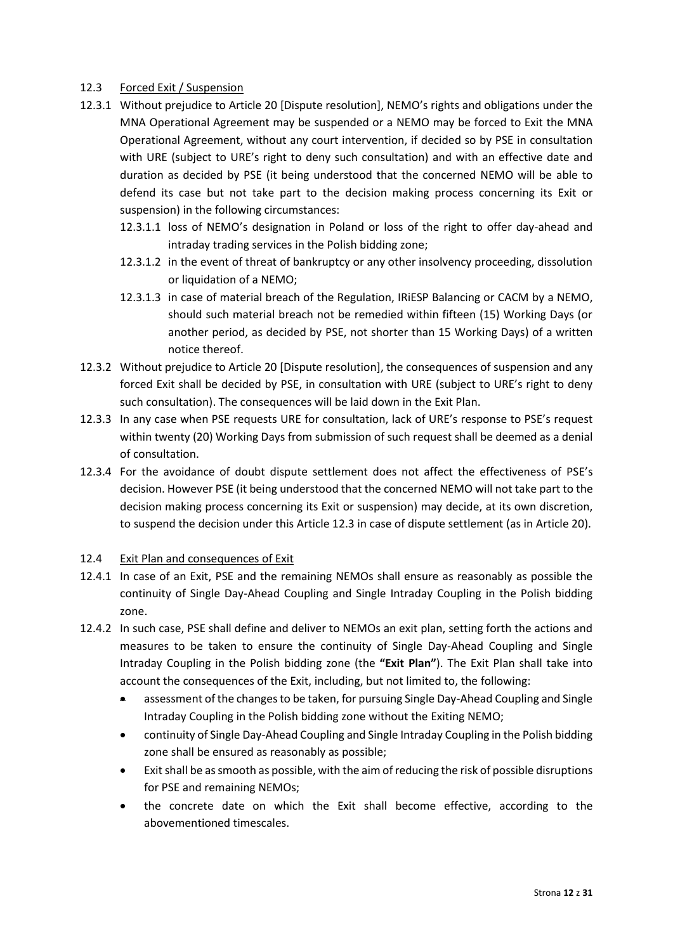## 12.3 Forced Exit / Suspension

- 12.3.1 Without prejudice to Article 20 [Dispute resolution], NEMO's rights and obligations under the MNA Operational Agreement may be suspended or a NEMO may be forced to Exit the MNA Operational Agreement, without any court intervention, if decided so by PSE in consultation with URE (subject to URE's right to deny such consultation) and with an effective date and duration as decided by PSE (it being understood that the concerned NEMO will be able to defend its case but not take part to the decision making process concerning its Exit or suspension) in the following circumstances:
	- 12.3.1.1 loss of NEMO's designation in Poland or loss of the right to offer day-ahead and intraday trading services in the Polish bidding zone;
	- 12.3.1.2 in the event of threat of bankruptcy or any other insolvency proceeding, dissolution or liquidation of a NEMO;
	- 12.3.1.3 in case of material breach of the Regulation, IRiESP Balancing or CACM by a NEMO, should such material breach not be remedied within fifteen (15) Working Days (or another period, as decided by PSE, not shorter than 15 Working Days) of a written notice thereof.
- 12.3.2 Without prejudice to Article 20 [Dispute resolution], the consequences of suspension and any forced Exit shall be decided by PSE, in consultation with URE (subject to URE's right to deny such consultation). The consequences will be laid down in the Exit Plan.
- 12.3.3 In any case when PSE requests URE for consultation, lack of URE's response to PSE's request within twenty (20) Working Days from submission of such request shall be deemed as a denial of consultation.
- 12.3.4 For the avoidance of doubt dispute settlement does not affect the effectiveness of PSE's decision. However PSE (it being understood that the concerned NEMO will not take part to the decision making process concerning its Exit or suspension) may decide, at its own discretion, to suspend the decision under this Article 12.3 in case of dispute settlement (as in Article 20).

## 12.4 Exit Plan and consequences of Exit

- 12.4.1 In case of an Exit, PSE and the remaining NEMOs shall ensure as reasonably as possible the continuity of Single Day-Ahead Coupling and Single Intraday Coupling in the Polish bidding zone.
- 12.4.2 In such case, PSE shall define and deliver to NEMOs an exit plan, setting forth the actions and measures to be taken to ensure the continuity of Single Day-Ahead Coupling and Single Intraday Coupling in the Polish bidding zone (the **"Exit Plan"**). The Exit Plan shall take into account the consequences of the Exit, including, but not limited to, the following:
	- assessment of the changes to be taken, for pursuing Single Day-Ahead Coupling and Single Intraday Coupling in the Polish bidding zone without the Exiting NEMO;
	- continuity of Single Day-Ahead Coupling and Single Intraday Coupling in the Polish bidding zone shall be ensured as reasonably as possible;
	- Exit shall be as smooth as possible, with the aim of reducing the risk of possible disruptions for PSE and remaining NEMOs;
	- the concrete date on which the Exit shall become effective, according to the abovementioned timescales.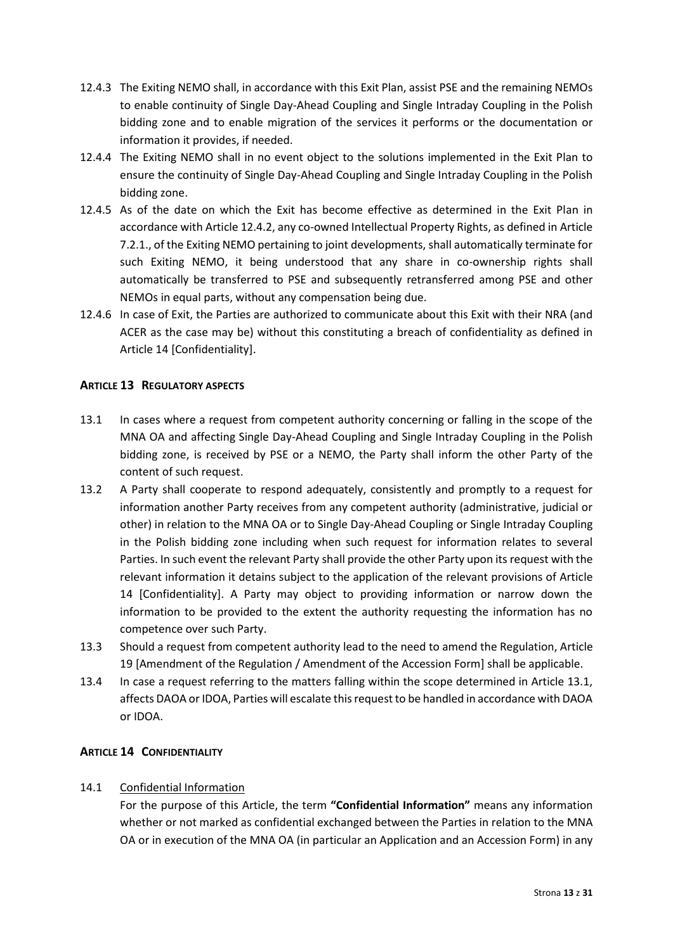- 12.4.3 The Exiting NEMO shall, in accordance with this Exit Plan, assist PSE and the remaining NEMOs to enable continuity of Single Day-Ahead Coupling and Single Intraday Coupling in the Polish bidding zone and to enable migration of the services it performs or the documentation or information it provides, if needed.
- 12.4.4 The Exiting NEMO shall in no event object to the solutions implemented in the Exit Plan to ensure the continuity of Single Day-Ahead Coupling and Single Intraday Coupling in the Polish bidding zone.
- 12.4.5 As of the date on which the Exit has become effective as determined in the Exit Plan in accordance with Article 12.4.2, any co-owned Intellectual Property Rights, as defined in Article 7.2.1., of the Exiting NEMO pertaining to joint developments, shall automatically terminate for such Exiting NEMO, it being understood that any share in co-ownership rights shall automatically be transferred to PSE and subsequently retransferred among PSE and other NEMOs in equal parts, without any compensation being due.
- 12.4.6 In case of Exit, the Parties are authorized to communicate about this Exit with their NRA (and ACER as the case may be) without this constituting a breach of confidentiality as defined in Article 14 [Confidentiality].

# <span id="page-12-0"></span>**ARTICLE 13 REGULATORY ASPECTS**

- 13.1 In cases where a request from competent authority concerning or falling in the scope of the MNA OA and affecting Single Day-Ahead Coupling and Single Intraday Coupling in the Polish bidding zone, is received by PSE or a NEMO, the Party shall inform the other Party of the content of such request.
- 13.2 A Party shall cooperate to respond adequately, consistently and promptly to a request for information another Party receives from any competent authority (administrative, judicial or other) in relation to the MNA OA or to Single Day-Ahead Coupling or Single Intraday Coupling in the Polish bidding zone including when such request for information relates to several Parties. In such event the relevant Party shall provide the other Party upon its request with the relevant information it detains subject to the application of the relevant provisions of Article 14 [Confidentiality]. A Party may object to providing information or narrow down the information to be provided to the extent the authority requesting the information has no competence over such Party.
- 13.3 Should a request from competent authority lead to the need to amend the Regulation, Article 19 [Amendment of the Regulation / Amendment of the Accession Form] shall be applicable.
- 13.4 In case a request referring to the matters falling within the scope determined in Article 13.1, affects DAOA or IDOA, Parties will escalate this request to be handled in accordance with DAOA or IDOA.

# <span id="page-12-1"></span>**ARTICLE 14 CONFIDENTIALITY**

# 14.1 Confidential Information

For the purpose of this Article, the term **"Confidential Information"** means any information whether or not marked as confidential exchanged between the Parties in relation to the MNA OA or in execution of the MNA OA (in particular an Application and an Accession Form) in any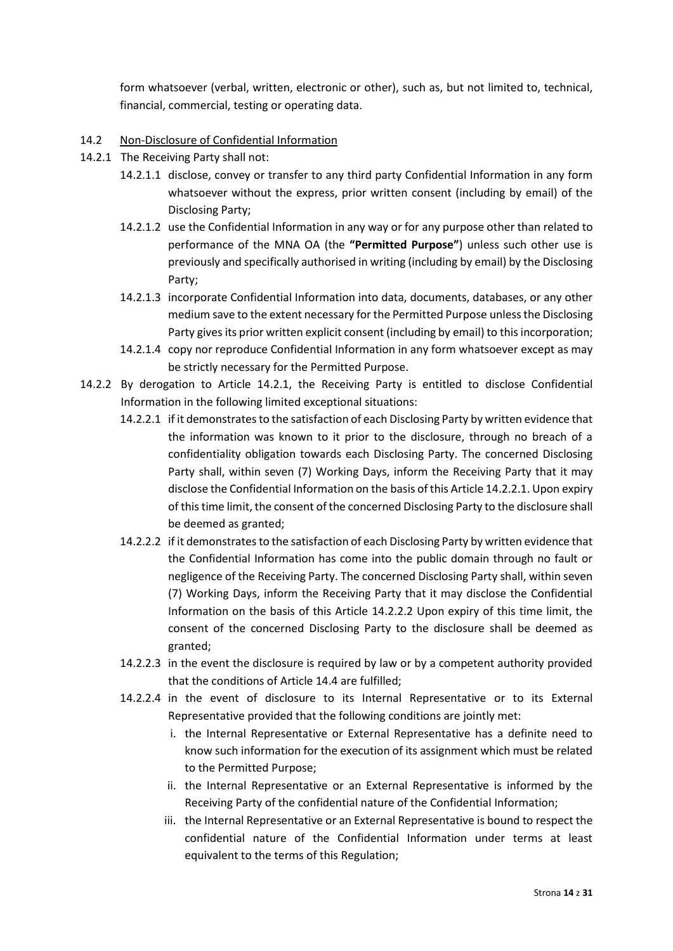form whatsoever (verbal, written, electronic or other), such as, but not limited to, technical, financial, commercial, testing or operating data.

## 14.2 Non-Disclosure of Confidential Information

- 14.2.1 The Receiving Party shall not:
	- 14.2.1.1 disclose, convey or transfer to any third party Confidential Information in any form whatsoever without the express, prior written consent (including by email) of the Disclosing Party;
	- 14.2.1.2 use the Confidential Information in any way or for any purpose other than related to performance of the MNA OA (the **"Permitted Purpose"**) unless such other use is previously and specifically authorised in writing (including by email) by the Disclosing Party;
	- 14.2.1.3 incorporate Confidential Information into data, documents, databases, or any other medium save to the extent necessary for the Permitted Purpose unless the Disclosing Party gives its prior written explicit consent (including by email) to this incorporation;
	- 14.2.1.4 copy nor reproduce Confidential Information in any form whatsoever except as may be strictly necessary for the Permitted Purpose.
- 14.2.2 By derogation to Article 14.2.1, the Receiving Party is entitled to disclose Confidential Information in the following limited exceptional situations:
	- 14.2.2.1 if it demonstrates to the satisfaction of each Disclosing Party by written evidence that the information was known to it prior to the disclosure, through no breach of a confidentiality obligation towards each Disclosing Party. The concerned Disclosing Party shall, within seven (7) Working Days, inform the Receiving Party that it may disclose the Confidential Information on the basis of this Article 14.2.2.1. Upon expiry of this time limit, the consent of the concerned Disclosing Party to the disclosure shall be deemed as granted;
	- 14.2.2.2 if it demonstrates to the satisfaction of each Disclosing Party by written evidence that the Confidential Information has come into the public domain through no fault or negligence of the Receiving Party. The concerned Disclosing Party shall, within seven (7) Working Days, inform the Receiving Party that it may disclose the Confidential Information on the basis of this Article 14.2.2.2 Upon expiry of this time limit, the consent of the concerned Disclosing Party to the disclosure shall be deemed as granted;
	- 14.2.2.3 in the event the disclosure is required by law or by a competent authority provided that the conditions of Article 14.4 are fulfilled;
	- 14.2.2.4 in the event of disclosure to its Internal Representative or to its External Representative provided that the following conditions are jointly met:
		- i. the Internal Representative or External Representative has a definite need to know such information for the execution of its assignment which must be related to the Permitted Purpose;
		- ii. the Internal Representative or an External Representative is informed by the Receiving Party of the confidential nature of the Confidential Information;
		- iii. the Internal Representative or an External Representative is bound to respect the confidential nature of the Confidential Information under terms at least equivalent to the terms of this Regulation;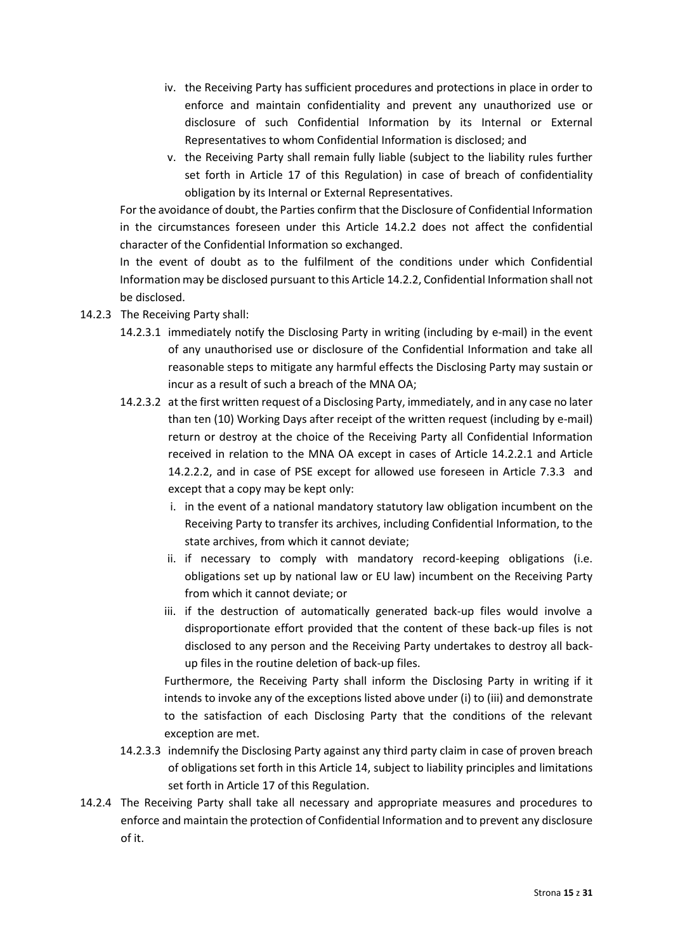- iv. the Receiving Party has sufficient procedures and protections in place in order to enforce and maintain confidentiality and prevent any unauthorized use or disclosure of such Confidential Information by its Internal or External Representatives to whom Confidential Information is disclosed; and
- v. the Receiving Party shall remain fully liable (subject to the liability rules further set forth in Article 17 of this Regulation) in case of breach of confidentiality obligation by its Internal or External Representatives.

For the avoidance of doubt, the Parties confirm that the Disclosure of Confidential Information in the circumstances foreseen under this Article 14.2.2 does not affect the confidential character of the Confidential Information so exchanged.

In the event of doubt as to the fulfilment of the conditions under which Confidential Information may be disclosed pursuant to this Article 14.2.2, Confidential Information shall not be disclosed.

- 14.2.3 The Receiving Party shall:
	- 14.2.3.1 immediately notify the Disclosing Party in writing (including by e-mail) in the event of any unauthorised use or disclosure of the Confidential Information and take all reasonable steps to mitigate any harmful effects the Disclosing Party may sustain or incur as a result of such a breach of the MNA OA;
	- 14.2.3.2 at the first written request of a Disclosing Party, immediately, and in any case no later than ten (10) Working Days after receipt of the written request (including by e-mail) return or destroy at the choice of the Receiving Party all Confidential Information received in relation to the MNA OA except in cases of Article 14.2.2.1 and Article 14.2.2.2, and in case of PSE except for allowed use foreseen in Article 7.3.3 and except that a copy may be kept only:
		- i. in the event of a national mandatory statutory law obligation incumbent on the Receiving Party to transfer its archives, including Confidential Information, to the state archives, from which it cannot deviate;
		- ii. if necessary to comply with mandatory record-keeping obligations (i.e. obligations set up by national law or EU law) incumbent on the Receiving Party from which it cannot deviate; or
		- iii. if the destruction of automatically generated back-up files would involve a disproportionate effort provided that the content of these back-up files is not disclosed to any person and the Receiving Party undertakes to destroy all backup files in the routine deletion of back-up files.

Furthermore, the Receiving Party shall inform the Disclosing Party in writing if it intends to invoke any of the exceptions listed above under (i) to (iii) and demonstrate to the satisfaction of each Disclosing Party that the conditions of the relevant exception are met.

- 14.2.3.3 indemnify the Disclosing Party against any third party claim in case of proven breach of obligations set forth in this Article 14, subject to liability principles and limitations set forth in Article 17 of this Regulation.
- 14.2.4 The Receiving Party shall take all necessary and appropriate measures and procedures to enforce and maintain the protection of Confidential Information and to prevent any disclosure of it.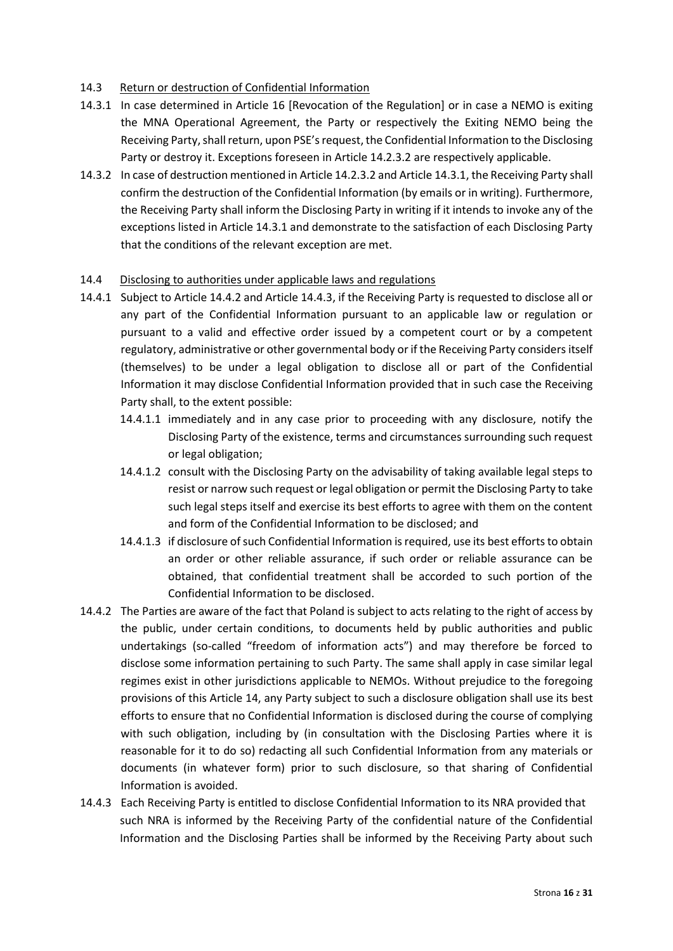## 14.3 Return or destruction of Confidential Information

- 14.3.1 In case determined in Article 16 [Revocation of the Regulation] or in case a NEMO is exiting the MNA Operational Agreement, the Party or respectively the Exiting NEMO being the Receiving Party, shall return, upon PSE's request, the Confidential Information to the Disclosing Party or destroy it. Exceptions foreseen in Article 14.2.3.2 are respectively applicable.
- 14.3.2 In case of destruction mentioned in Article 14.2.3.2 and Article 14.3.1, the Receiving Party shall confirm the destruction of the Confidential Information (by emails or in writing). Furthermore, the Receiving Party shall inform the Disclosing Party in writing if it intends to invoke any of the exceptions listed in Article 14.3.1 and demonstrate to the satisfaction of each Disclosing Party that the conditions of the relevant exception are met.

## 14.4 Disclosing to authorities under applicable laws and regulations

- 14.4.1 Subject to Article 14.4.2 and Article 14.4.3, if the Receiving Party is requested to disclose all or any part of the Confidential Information pursuant to an applicable law or regulation or pursuant to a valid and effective order issued by a competent court or by a competent regulatory, administrative or other governmental body or if the Receiving Party considers itself (themselves) to be under a legal obligation to disclose all or part of the Confidential Information it may disclose Confidential Information provided that in such case the Receiving Party shall, to the extent possible:
	- 14.4.1.1 immediately and in any case prior to proceeding with any disclosure, notify the Disclosing Party of the existence, terms and circumstances surrounding such request or legal obligation;
	- 14.4.1.2 consult with the Disclosing Party on the advisability of taking available legal steps to resist or narrow such request or legal obligation or permit the Disclosing Party to take such legal steps itself and exercise its best efforts to agree with them on the content and form of the Confidential Information to be disclosed; and
	- 14.4.1.3 if disclosure of such Confidential Information is required, use its best efforts to obtain an order or other reliable assurance, if such order or reliable assurance can be obtained, that confidential treatment shall be accorded to such portion of the Confidential Information to be disclosed.
- 14.4.2 The Parties are aware of the fact that Poland is subject to acts relating to the right of access by the public, under certain conditions, to documents held by public authorities and public undertakings (so-called "freedom of information acts") and may therefore be forced to disclose some information pertaining to such Party. The same shall apply in case similar legal regimes exist in other jurisdictions applicable to NEMOs. Without prejudice to the foregoing provisions of this Article 14, any Party subject to such a disclosure obligation shall use its best efforts to ensure that no Confidential Information is disclosed during the course of complying with such obligation, including by (in consultation with the Disclosing Parties where it is reasonable for it to do so) redacting all such Confidential Information from any materials or documents (in whatever form) prior to such disclosure, so that sharing of Confidential Information is avoided.
- 14.4.3 Each Receiving Party is entitled to disclose Confidential Information to its NRA provided that such NRA is informed by the Receiving Party of the confidential nature of the Confidential Information and the Disclosing Parties shall be informed by the Receiving Party about such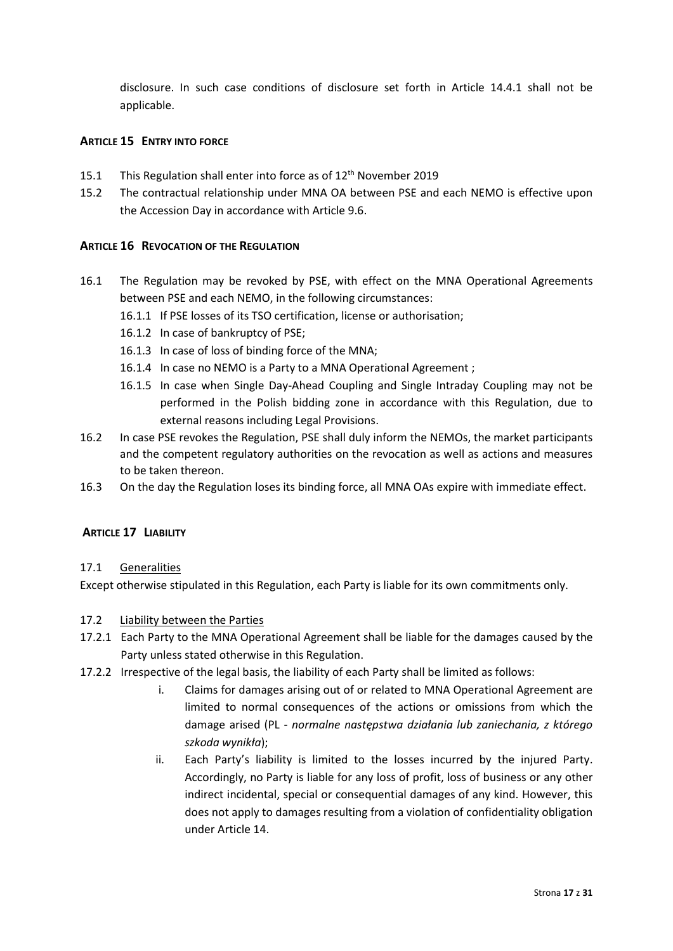disclosure. In such case conditions of disclosure set forth in Article 14.4.1 shall not be applicable.

## <span id="page-16-0"></span>**ARTICLE 15 ENTRY INTO FORCE**

- 15.1 This Regulation shall enter into force as of 12<sup>th</sup> November 2019
- 15.2 The contractual relationship under MNA OA between PSE and each NEMO is effective upon the Accession Day in accordance with Article 9.6.

## <span id="page-16-1"></span>**ARTICLE 16 REVOCATION OF THE REGULATION**

- 16.1 The Regulation may be revoked by PSE, with effect on the MNA Operational Agreements between PSE and each NEMO, in the following circumstances:
	- 16.1.1 If PSE losses of its TSO certification, license or authorisation;
	- 16.1.2 In case of bankruptcy of PSE;
	- 16.1.3 In case of loss of binding force of the MNA;
	- 16.1.4 In case no NEMO is a Party to a MNA Operational Agreement ;
	- 16.1.5 In case when Single Day-Ahead Coupling and Single Intraday Coupling may not be performed in the Polish bidding zone in accordance with this Regulation, due to external reasons including Legal Provisions.
- 16.2 In case PSE revokes the Regulation, PSE shall duly inform the NEMOs, the market participants and the competent regulatory authorities on the revocation as well as actions and measures to be taken thereon.
- 16.3 On the day the Regulation loses its binding force, all MNA OAs expire with immediate effect.

## <span id="page-16-2"></span>**ARTICLE 17 LIABILITY**

## 17.1 Generalities

Except otherwise stipulated in this Regulation, each Party is liable for its own commitments only.

## 17.2 Liability between the Parties

- 17.2.1 Each Party to the MNA Operational Agreement shall be liable for the damages caused by the Party unless stated otherwise in this Regulation.
- 17.2.2 Irrespective of the legal basis, the liability of each Party shall be limited as follows:
	- i. Claims for damages arising out of or related to MNA Operational Agreement are limited to normal consequences of the actions or omissions from which the damage arised (PL - *normalne następstwa działania lub zaniechania, z którego szkoda wynikła*);
	- ii. Each Party's liability is limited to the losses incurred by the injured Party. Accordingly, no Party is liable for any loss of profit, loss of business or any other indirect incidental, special or consequential damages of any kind. However, this does not apply to damages resulting from a violation of confidentiality obligation under Article 14.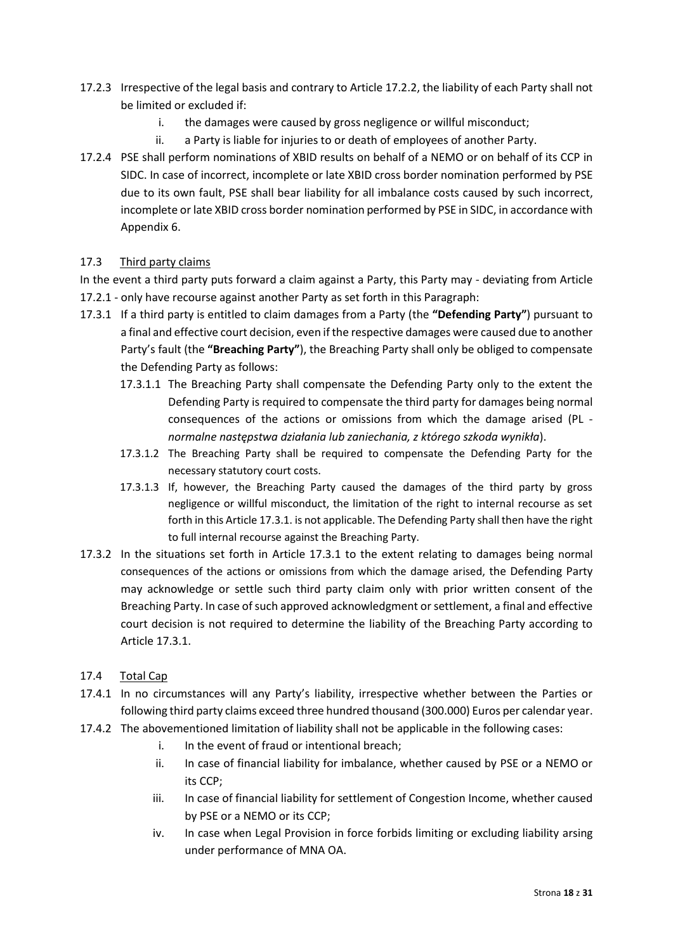- 17.2.3 Irrespective of the legal basis and contrary to Article 17.2.2, the liability of each Party shall not be limited or excluded if:
	- i. the damages were caused by gross negligence or willful misconduct;
	- ii. a Party is liable for injuries to or death of employees of another Party.
- 17.2.4 PSE shall perform nominations of XBID results on behalf of a NEMO or on behalf of its CCP in SIDC. In case of incorrect, incomplete or late XBID cross border nomination performed by PSE due to its own fault, PSE shall bear liability for all imbalance costs caused by such incorrect, incomplete or late XBID cross border nomination performed by PSE in SIDC, in accordance with Appendix 6.

## 17.3 Third party claims

In the event a third party puts forward a claim against a Party, this Party may - deviating from Article 17.2.1 - only have recourse against another Party as set forth in this Paragraph:

- 17.3.1 If a third party is entitled to claim damages from a Party (the **"Defending Party"**) pursuant to a final and effective court decision, even if the respective damages were caused due to another Party's fault (the **"Breaching Party"**), the Breaching Party shall only be obliged to compensate the Defending Party as follows:
	- 17.3.1.1 The Breaching Party shall compensate the Defending Party only to the extent the Defending Party is required to compensate the third party for damages being normal consequences of the actions or omissions from which the damage arised (PL *normalne następstwa działania lub zaniechania, z którego szkoda wynikła*).
	- 17.3.1.2 The Breaching Party shall be required to compensate the Defending Party for the necessary statutory court costs.
	- 17.3.1.3 If, however, the Breaching Party caused the damages of the third party by gross negligence or willful misconduct, the limitation of the right to internal recourse as set forth in this Article 17.3.1. is not applicable. The Defending Party shall then have the right to full internal recourse against the Breaching Party.
- 17.3.2 In the situations set forth in Article 17.3.1 to the extent relating to damages being normal consequences of the actions or omissions from which the damage arised, the Defending Party may acknowledge or settle such third party claim only with prior written consent of the Breaching Party. In case of such approved acknowledgment or settlement, a final and effective court decision is not required to determine the liability of the Breaching Party according to Article 17.3.1.
- 17.4 Total Cap
- 17.4.1 In no circumstances will any Party's liability, irrespective whether between the Parties or following third party claims exceed three hundred thousand (300.000) Euros per calendar year.
- 17.4.2 The abovementioned limitation of liability shall not be applicable in the following cases:
	- i. In the event of fraud or intentional breach;
	- ii. In case of financial liability for imbalance, whether caused by PSE or a NEMO or its CCP;
	- iii. In case of financial liability for settlement of Congestion Income, whether caused by PSE or a NEMO or its CCP;
	- iv. In case when Legal Provision in force forbids limiting or excluding liability arsing under performance of MNA OA.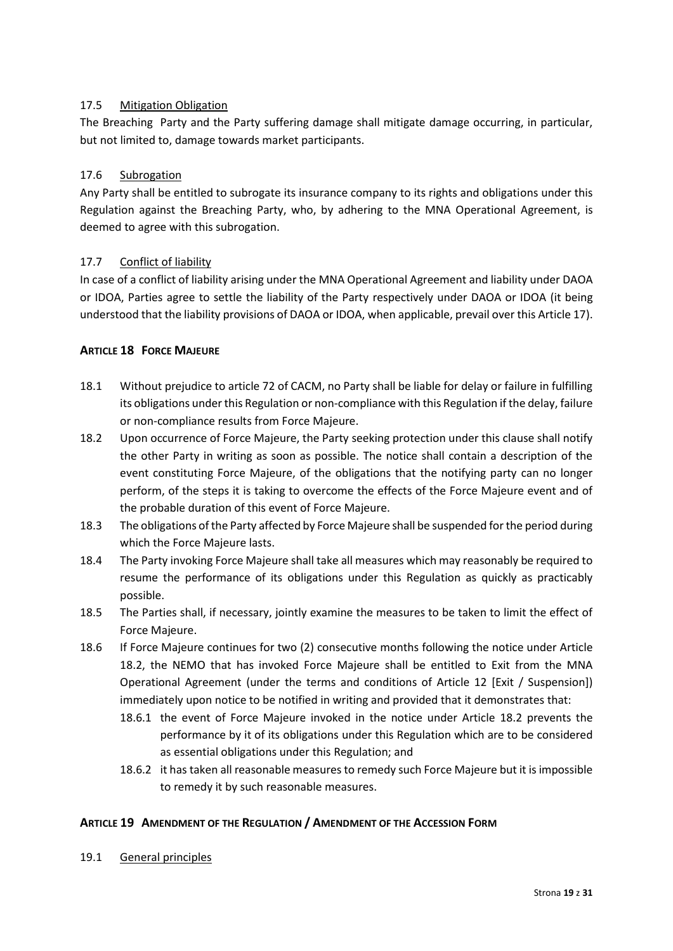# 17.5 Mitigation Obligation

The Breaching Party and the Party suffering damage shall mitigate damage occurring, in particular, but not limited to, damage towards market participants.

## 17.6 Subrogation

Any Party shall be entitled to subrogate its insurance company to its rights and obligations under this Regulation against the Breaching Party, who, by adhering to the MNA Operational Agreement, is deemed to agree with this subrogation.

## 17.7 Conflict of liability

In case of a conflict of liability arising under the MNA Operational Agreement and liability under DAOA or IDOA, Parties agree to settle the liability of the Party respectively under DAOA or IDOA (it being understood that the liability provisions of DAOA or IDOA, when applicable, prevail over this Article 17).

## <span id="page-18-0"></span>**ARTICLE 18 FORCE MAJEURE**

- 18.1 Without prejudice to article 72 of CACM, no Party shall be liable for delay or failure in fulfilling its obligations under this Regulation or non-compliance with this Regulation if the delay, failure or non-compliance results from Force Majeure.
- 18.2 Upon occurrence of Force Majeure, the Party seeking protection under this clause shall notify the other Party in writing as soon as possible. The notice shall contain a description of the event constituting Force Majeure, of the obligations that the notifying party can no longer perform, of the steps it is taking to overcome the effects of the Force Majeure event and of the probable duration of this event of Force Majeure.
- 18.3 The obligations of the Party affected by Force Majeure shall be suspended for the period during which the Force Majeure lasts.
- 18.4 The Party invoking Force Majeure shall take all measures which may reasonably be required to resume the performance of its obligations under this Regulation as quickly as practicably possible.
- 18.5 The Parties shall, if necessary, jointly examine the measures to be taken to limit the effect of Force Majeure.
- 18.6 If Force Majeure continues for two (2) consecutive months following the notice under Article 18.2, the NEMO that has invoked Force Majeure shall be entitled to Exit from the MNA Operational Agreement (under the terms and conditions of Article 12 [Exit / Suspension]) immediately upon notice to be notified in writing and provided that it demonstrates that:
	- 18.6.1 the event of Force Majeure invoked in the notice under Article 18.2 prevents the performance by it of its obligations under this Regulation which are to be considered as essential obligations under this Regulation; and
	- 18.6.2 it has taken all reasonable measures to remedy such Force Majeure but it is impossible to remedy it by such reasonable measures.

## <span id="page-18-1"></span>**ARTICLE 19 AMENDMENT OF THE REGULATION / AMENDMENT OF THE ACCESSION FORM**

19.1 General principles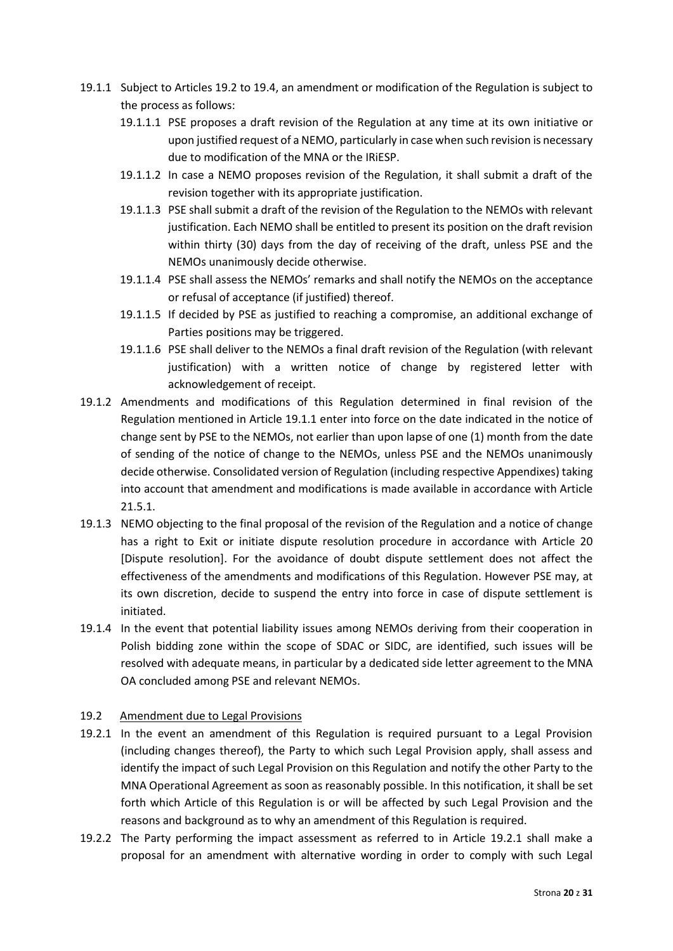- 19.1.1 Subject to Articles 19.2 to 19.4, an amendment or modification of the Regulation is subject to the process as follows:
	- 19.1.1.1 PSE proposes a draft revision of the Regulation at any time at its own initiative or upon justified request of a NEMO, particularly in case when such revision is necessary due to modification of the MNA or the IRiESP.
	- 19.1.1.2 In case a NEMO proposes revision of the Regulation, it shall submit a draft of the revision together with its appropriate justification.
	- 19.1.1.3 PSE shall submit a draft of the revision of the Regulation to the NEMOs with relevant justification. Each NEMO shall be entitled to present its position on the draft revision within thirty (30) days from the day of receiving of the draft, unless PSE and the NEMOs unanimously decide otherwise.
	- 19.1.1.4 PSE shall assess the NEMOs' remarks and shall notify the NEMOs on the acceptance or refusal of acceptance (if justified) thereof.
	- 19.1.1.5 If decided by PSE as justified to reaching a compromise, an additional exchange of Parties positions may be triggered.
	- 19.1.1.6 PSE shall deliver to the NEMOs a final draft revision of the Regulation (with relevant justification) with a written notice of change by registered letter with acknowledgement of receipt.
- 19.1.2 Amendments and modifications of this Regulation determined in final revision of the Regulation mentioned in Article 19.1.1 enter into force on the date indicated in the notice of change sent by PSE to the NEMOs, not earlier than upon lapse of one (1) month from the date of sending of the notice of change to the NEMOs, unless PSE and the NEMOs unanimously decide otherwise. Consolidated version of Regulation (including respective Appendixes) taking into account that amendment and modifications is made available in accordance with Article 21.5.1.
- 19.1.3 NEMO objecting to the final proposal of the revision of the Regulation and a notice of change has a right to Exit or initiate dispute resolution procedure in accordance with Article 20 [Dispute resolution]. For the avoidance of doubt dispute settlement does not affect the effectiveness of the amendments and modifications of this Regulation. However PSE may, at its own discretion, decide to suspend the entry into force in case of dispute settlement is initiated.
- 19.1.4 In the event that potential liability issues among NEMOs deriving from their cooperation in Polish bidding zone within the scope of SDAC or SIDC, are identified, such issues will be resolved with adequate means, in particular by a dedicated side letter agreement to the MNA OA concluded among PSE and relevant NEMOs.

# 19.2 Amendment due to Legal Provisions

- 19.2.1 In the event an amendment of this Regulation is required pursuant to a Legal Provision (including changes thereof), the Party to which such Legal Provision apply, shall assess and identify the impact of such Legal Provision on this Regulation and notify the other Party to the MNA Operational Agreement as soon as reasonably possible. In this notification, it shall be set forth which Article of this Regulation is or will be affected by such Legal Provision and the reasons and background as to why an amendment of this Regulation is required.
- 19.2.2 The Party performing the impact assessment as referred to in Article 19.2.1 shall make a proposal for an amendment with alternative wording in order to comply with such Legal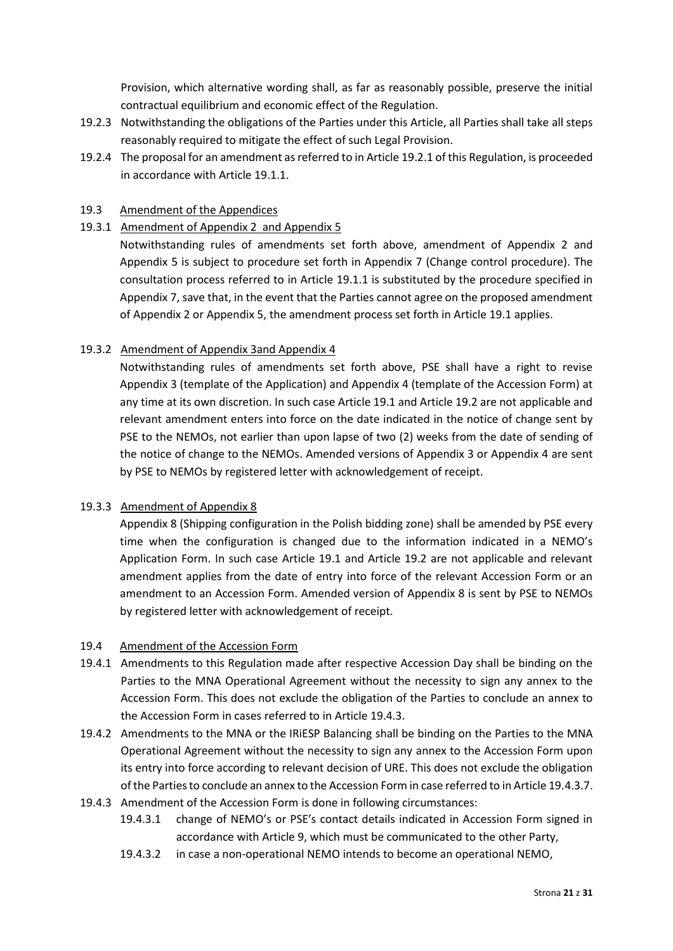Provision, which alternative wording shall, as far as reasonably possible, preserve the initial contractual equilibrium and economic effect of the Regulation.

- 19.2.3 Notwithstanding the obligations of the Parties under this Article, all Parties shall take all steps reasonably required to mitigate the effect of such Legal Provision.
- 19.2.4 The proposal for an amendment as referred to in Article 19.2.1 of this Regulation, is proceeded in accordance with Article 19.1.1.

## 19.3 Amendment of the Appendices

19.3.1 Amendment of Appendix 2 and Appendix 5

Notwithstanding rules of amendments set forth above, amendment of Appendix 2 and Appendix 5 is subject to procedure set forth in Appendix 7 (Change control procedure). The consultation process referred to in Article 19.1.1 is substituted by the procedure specified in Appendix 7, save that, in the event that the Parties cannot agree on the proposed amendment of Appendix 2 or Appendix 5, the amendment process set forth in Article 19.1 applies.

## 19.3.2 Amendment of Appendix 3and Appendix 4

Notwithstanding rules of amendments set forth above, PSE shall have a right to revise Appendix 3 (template of the Application) and Appendix 4 (template of the Accession Form) at any time at its own discretion. In such case Article 19.1 and Article 19.2 are not applicable and relevant amendment enters into force on the date indicated in the notice of change sent by PSE to the NEMOs, not earlier than upon lapse of two (2) weeks from the date of sending of the notice of change to the NEMOs. Amended versions of Appendix 3 or Appendix 4 are sent by PSE to NEMOs by registered letter with acknowledgement of receipt.

## 19.3.3 Amendment of Appendix 8

Appendix 8 (Shipping configuration in the Polish bidding zone) shall be amended by PSE every time when the configuration is changed due to the information indicated in a NEMO's Application Form. In such case Article 19.1 and Article 19.2 are not applicable and relevant amendment applies from the date of entry into force of the relevant Accession Form or an amendment to an Accession Form. Amended version of Appendix 8 is sent by PSE to NEMOs by registered letter with acknowledgement of receipt.

## 19.4 Amendment of the Accession Form

- 19.4.1 Amendments to this Regulation made after respective Accession Day shall be binding on the Parties to the MNA Operational Agreement without the necessity to sign any annex to the Accession Form. This does not exclude the obligation of the Parties to conclude an annex to the Accession Form in cases referred to in Article 19.4.3.
- 19.4.2 Amendments to the MNA or the IRiESP Balancing shall be binding on the Parties to the MNA Operational Agreement without the necessity to sign any annex to the Accession Form upon its entry into force according to relevant decision of URE. This does not exclude the obligation of the Parties to conclude an annex to the Accession Form in case referred to in Article 19.4.3.7.
- 19.4.3 Amendment of the Accession Form is done in following circumstances:
	- 19.4.3.1 change of NEMO's or PSE's contact details indicated in Accession Form signed in accordance with Article 9, which must be communicated to the other Party,
	- 19.4.3.2 in case a non-operational NEMO intends to become an operational NEMO,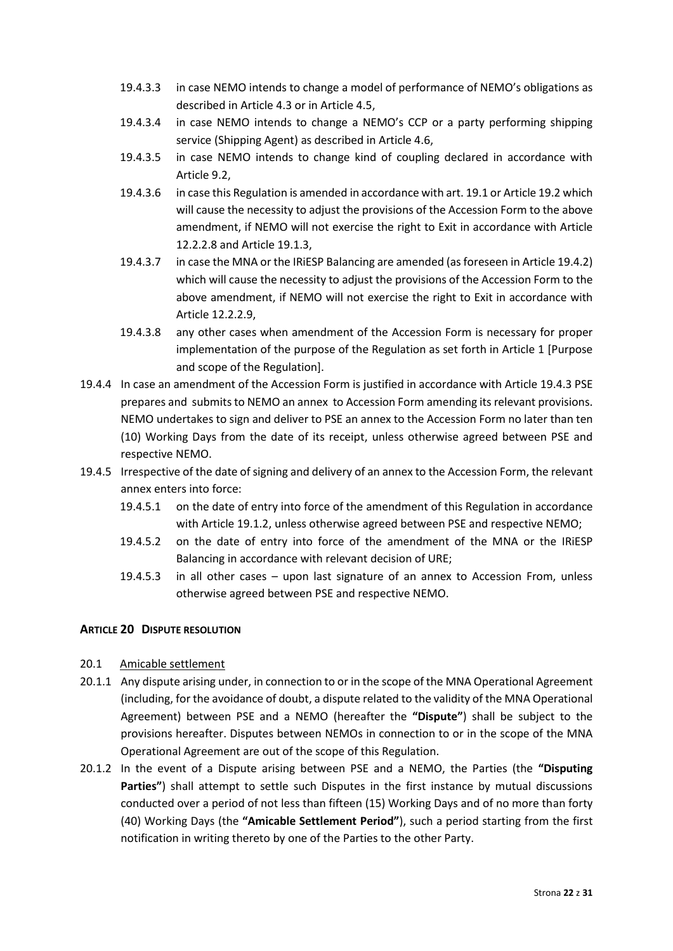- 19.4.3.3 in case NEMO intends to change a model of performance of NEMO's obligations as described in Article 4.3 or in Article 4.5,
- 19.4.3.4 in case NEMO intends to change a NEMO's CCP or a party performing shipping service (Shipping Agent) as described in Article 4.6,
- 19.4.3.5 in case NEMO intends to change kind of coupling declared in accordance with Article 9.2,
- 19.4.3.6 in case this Regulation is amended in accordance with art. 19.1 or Article 19.2 which will cause the necessity to adjust the provisions of the Accession Form to the above amendment, if NEMO will not exercise the right to Exit in accordance with Article 12.2.2.8 and Article 19.1.3,
- 19.4.3.7 in case the MNA or the IRiESP Balancing are amended (as foreseen in Article 19.4.2) which will cause the necessity to adjust the provisions of the Accession Form to the above amendment, if NEMO will not exercise the right to Exit in accordance with Article 12.2.2.9,
- 19.4.3.8 any other cases when amendment of the Accession Form is necessary for proper implementation of the purpose of the Regulation as set forth in Article 1 [Purpose and scope of the Regulation].
- 19.4.4 In case an amendment of the Accession Form is justified in accordance with Article 19.4.3 PSE prepares and submits to NEMO an annex to Accession Form amending its relevant provisions. NEMO undertakes to sign and deliver to PSE an annex to the Accession Form no later than ten (10) Working Days from the date of its receipt, unless otherwise agreed between PSE and respective NEMO.
- 19.4.5 Irrespective of the date of signing and delivery of an annex to the Accession Form, the relevant annex enters into force:
	- 19.4.5.1 on the date of entry into force of the amendment of this Regulation in accordance with Article 19.1.2, unless otherwise agreed between PSE and respective NEMO;
	- 19.4.5.2 on the date of entry into force of the amendment of the MNA or the IRiESP Balancing in accordance with relevant decision of URE;
	- 19.4.5.3 in all other cases upon last signature of an annex to Accession From, unless otherwise agreed between PSE and respective NEMO.

# <span id="page-21-0"></span>**ARTICLE 20 DISPUTE RESOLUTION**

## 20.1 Amicable settlement

- 20.1.1 Any dispute arising under, in connection to or in the scope of the MNA Operational Agreement (including, for the avoidance of doubt, a dispute related to the validity of the MNA Operational Agreement) between PSE and a NEMO (hereafter the **"Dispute"**) shall be subject to the provisions hereafter. Disputes between NEMOs in connection to or in the scope of the MNA Operational Agreement are out of the scope of this Regulation.
- 20.1.2 In the event of a Dispute arising between PSE and a NEMO, the Parties (the **"Disputing Parties"**) shall attempt to settle such Disputes in the first instance by mutual discussions conducted over a period of not less than fifteen (15) Working Days and of no more than forty (40) Working Days (the **"Amicable Settlement Period"**), such a period starting from the first notification in writing thereto by one of the Parties to the other Party.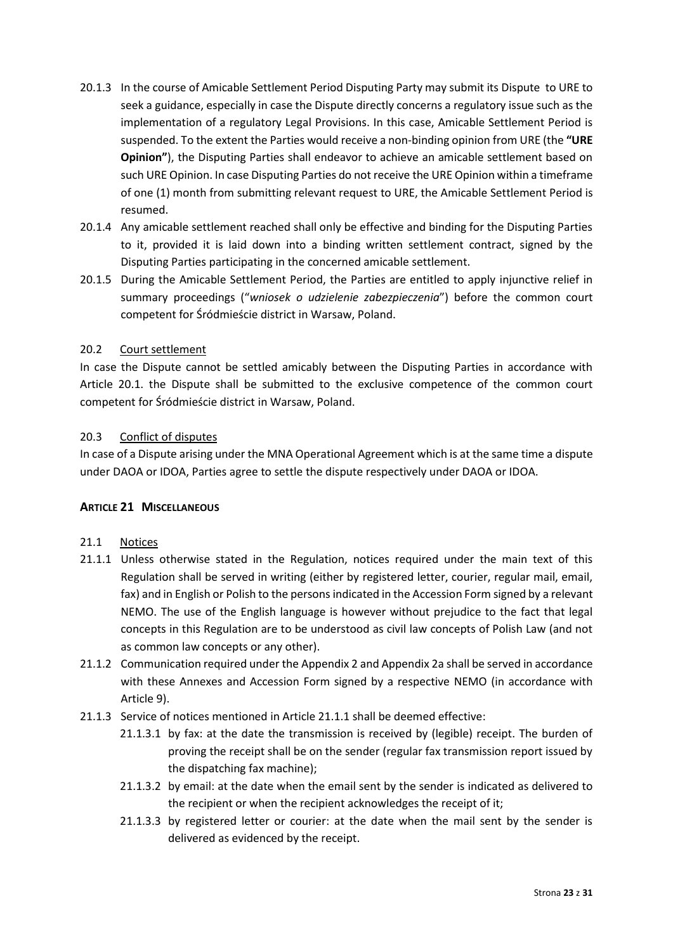- 20.1.3 In the course of Amicable Settlement Period Disputing Party may submit its Dispute to URE to seek a guidance, especially in case the Dispute directly concerns a regulatory issue such as the implementation of a regulatory Legal Provisions. In this case, Amicable Settlement Period is suspended. To the extent the Parties would receive a non-binding opinion from URE (the **"URE Opinion"**), the Disputing Parties shall endeavor to achieve an amicable settlement based on such URE Opinion. In case Disputing Parties do not receive the URE Opinion within a timeframe of one (1) month from submitting relevant request to URE, the Amicable Settlement Period is resumed.
- 20.1.4 Any amicable settlement reached shall only be effective and binding for the Disputing Parties to it, provided it is laid down into a binding written settlement contract, signed by the Disputing Parties participating in the concerned amicable settlement.
- 20.1.5 During the Amicable Settlement Period, the Parties are entitled to apply injunctive relief in summary proceedings ("*wniosek o udzielenie zabezpieczenia*") before the common court competent for Śródmieście district in Warsaw, Poland.

## 20.2 Court settlement

In case the Dispute cannot be settled amicably between the Disputing Parties in accordance with Article 20.1. the Dispute shall be submitted to the exclusive competence of the common court competent for Śródmieście district in Warsaw, Poland.

## 20.3 Conflict of disputes

In case of a Dispute arising under the MNA Operational Agreement which is at the same time a dispute under DAOA or IDOA, Parties agree to settle the dispute respectively under DAOA or IDOA.

# <span id="page-22-0"></span>**ARTICLE 21 MISCELLANEOUS**

- 21.1 Notices
- 21.1.1 Unless otherwise stated in the Regulation, notices required under the main text of this Regulation shall be served in writing (either by registered letter, courier, regular mail, email, fax) and in English or Polish to the persons indicated in the Accession Form signed by a relevant NEMO. The use of the English language is however without prejudice to the fact that legal concepts in this Regulation are to be understood as civil law concepts of Polish Law (and not as common law concepts or any other).
- 21.1.2 Communication required under the Appendix 2 and Appendix 2a shall be served in accordance with these Annexes and Accession Form signed by a respective NEMO (in accordance with Article 9).
- 21.1.3 Service of notices mentioned in Article 21.1.1 shall be deemed effective:
	- 21.1.3.1 by fax: at the date the transmission is received by (legible) receipt. The burden of proving the receipt shall be on the sender (regular fax transmission report issued by the dispatching fax machine);
	- 21.1.3.2 by email: at the date when the email sent by the sender is indicated as delivered to the recipient or when the recipient acknowledges the receipt of it;
	- 21.1.3.3 by registered letter or courier: at the date when the mail sent by the sender is delivered as evidenced by the receipt.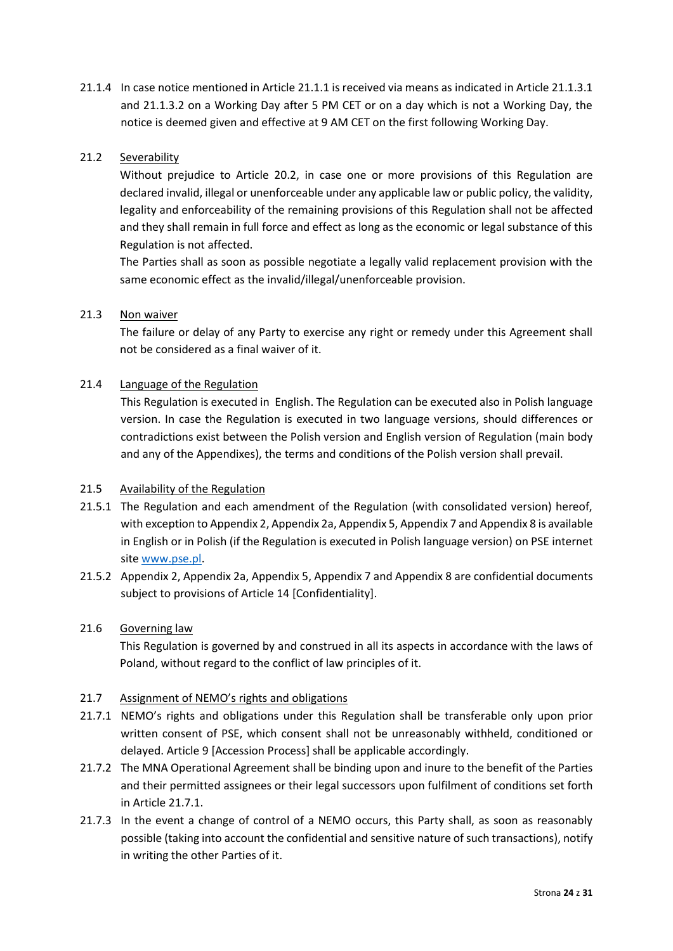21.1.4 In case notice mentioned in Article 21.1.1 is received via means as indicated in Article 21.1.3.1 and 21.1.3.2 on a Working Day after 5 PM CET or on a day which is not a Working Day, the notice is deemed given and effective at 9 AM CET on the first following Working Day.

# 21.2 Severability

Without prejudice to Article 20.2, in case one or more provisions of this Regulation are declared invalid, illegal or unenforceable under any applicable law or public policy, the validity, legality and enforceability of the remaining provisions of this Regulation shall not be affected and they shall remain in full force and effect as long as the economic or legal substance of this Regulation is not affected.

The Parties shall as soon as possible negotiate a legally valid replacement provision with the same economic effect as the invalid/illegal/unenforceable provision.

## 21.3 Non waiver

The failure or delay of any Party to exercise any right or remedy under this Agreement shall not be considered as a final waiver of it.

## 21.4 Language of the Regulation

This Regulation is executed in English. The Regulation can be executed also in Polish language version. In case the Regulation is executed in two language versions, should differences or contradictions exist between the Polish version and English version of Regulation (main body and any of the Appendixes), the terms and conditions of the Polish version shall prevail.

## 21.5 Availability of the Regulation

- 21.5.1 The Regulation and each amendment of the Regulation (with consolidated version) hereof, with exception to Appendix 2, Appendix 2a, Appendix 5, Appendix 7 and Appendix 8 is available in English or in Polish (if the Regulation is executed in Polish language version) on PSE internet site [www.pse.pl.](http://www.pse.pl/)
- 21.5.2 Appendix 2, Appendix 2a, Appendix 5, Appendix 7 and Appendix 8 are confidential documents subject to provisions of Article 14 [Confidentiality].

## 21.6 Governing law

This Regulation is governed by and construed in all its aspects in accordance with the laws of Poland, without regard to the conflict of law principles of it.

## 21.7 Assignment of NEMO's rights and obligations

- 21.7.1 NEMO's rights and obligations under this Regulation shall be transferable only upon prior written consent of PSE, which consent shall not be unreasonably withheld, conditioned or delayed. Article 9 [Accession Process] shall be applicable accordingly.
- 21.7.2 The MNA Operational Agreement shall be binding upon and inure to the benefit of the Parties and their permitted assignees or their legal successors upon fulfilment of conditions set forth in Article 21.7.1.
- 21.7.3 In the event a change of control of a NEMO occurs, this Party shall, as soon as reasonably possible (taking into account the confidential and sensitive nature of such transactions), notify in writing the other Parties of it.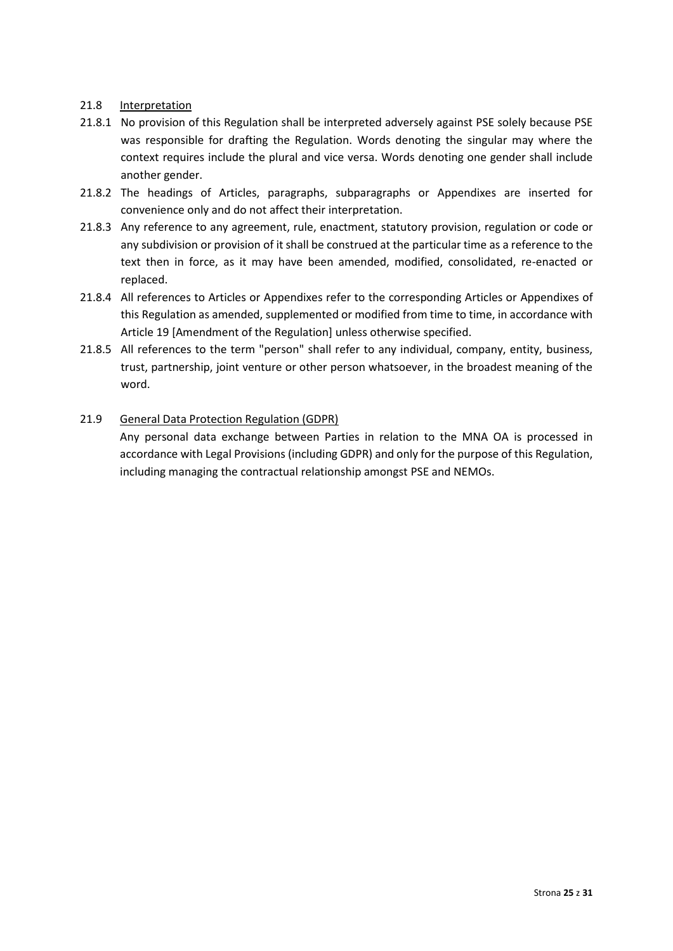## 21.8 Interpretation

- 21.8.1 No provision of this Regulation shall be interpreted adversely against PSE solely because PSE was responsible for drafting the Regulation. Words denoting the singular may where the context requires include the plural and vice versa. Words denoting one gender shall include another gender.
- 21.8.2 The headings of Articles, paragraphs, subparagraphs or Appendixes are inserted for convenience only and do not affect their interpretation.
- 21.8.3 Any reference to any agreement, rule, enactment, statutory provision, regulation or code or any subdivision or provision of it shall be construed at the particular time as a reference to the text then in force, as it may have been amended, modified, consolidated, re-enacted or replaced.
- 21.8.4 All references to Articles or Appendixes refer to the corresponding Articles or Appendixes of this Regulation as amended, supplemented or modified from time to time, in accordance with Article 19 [Amendment of the Regulation] unless otherwise specified.
- 21.8.5 All references to the term "person" shall refer to any individual, company, entity, business, trust, partnership, joint venture or other person whatsoever, in the broadest meaning of the word.

# 21.9 General Data Protection Regulation (GDPR)

Any personal data exchange between Parties in relation to the MNA OA is processed in accordance with Legal Provisions (including GDPR) and only for the purpose of this Regulation, including managing the contractual relationship amongst PSE and NEMOs.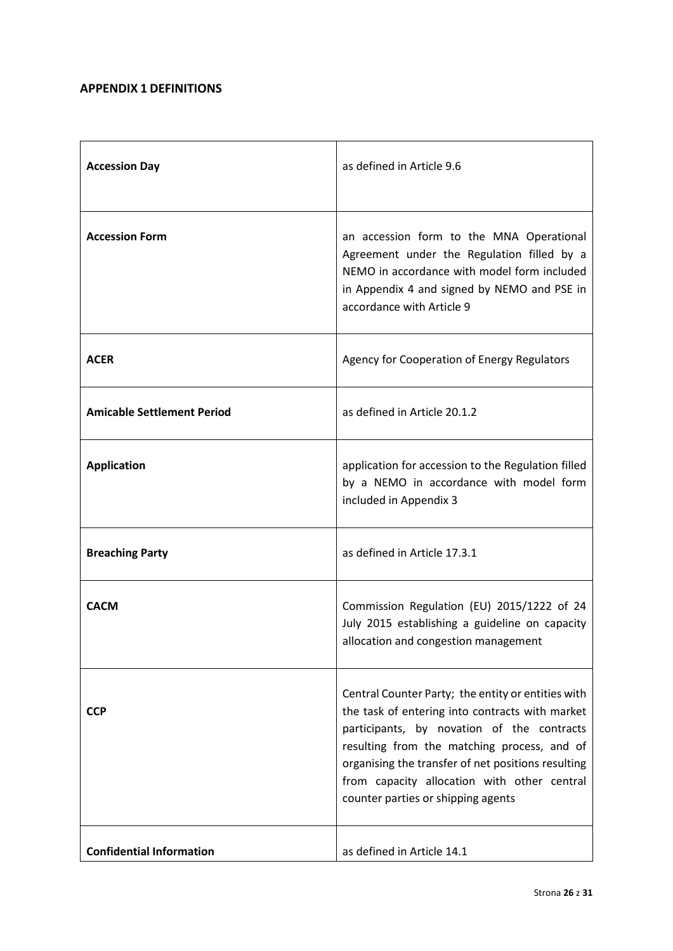# <span id="page-25-0"></span>**APPENDIX 1 DEFINITIONS**

| <b>Accession Day</b>              | as defined in Article 9.6                                                                                                                                                                                                                                                                                                                     |
|-----------------------------------|-----------------------------------------------------------------------------------------------------------------------------------------------------------------------------------------------------------------------------------------------------------------------------------------------------------------------------------------------|
| <b>Accession Form</b>             | an accession form to the MNA Operational<br>Agreement under the Regulation filled by a<br>NEMO in accordance with model form included<br>in Appendix 4 and signed by NEMO and PSE in<br>accordance with Article 9                                                                                                                             |
| <b>ACER</b>                       | Agency for Cooperation of Energy Regulators                                                                                                                                                                                                                                                                                                   |
| <b>Amicable Settlement Period</b> | as defined in Article 20.1.2                                                                                                                                                                                                                                                                                                                  |
| <b>Application</b>                | application for accession to the Regulation filled<br>by a NEMO in accordance with model form<br>included in Appendix 3                                                                                                                                                                                                                       |
| <b>Breaching Party</b>            | as defined in Article 17.3.1                                                                                                                                                                                                                                                                                                                  |
| <b>CACM</b>                       | Commission Regulation (EU) 2015/1222 of 24<br>July 2015 establishing a guideline on capacity<br>allocation and congestion management                                                                                                                                                                                                          |
| <b>CCP</b>                        | Central Counter Party; the entity or entities with<br>the task of entering into contracts with market<br>participants, by novation of the contracts<br>resulting from the matching process, and of<br>organising the transfer of net positions resulting<br>from capacity allocation with other central<br>counter parties or shipping agents |
| <b>Confidential Information</b>   | as defined in Article 14.1                                                                                                                                                                                                                                                                                                                    |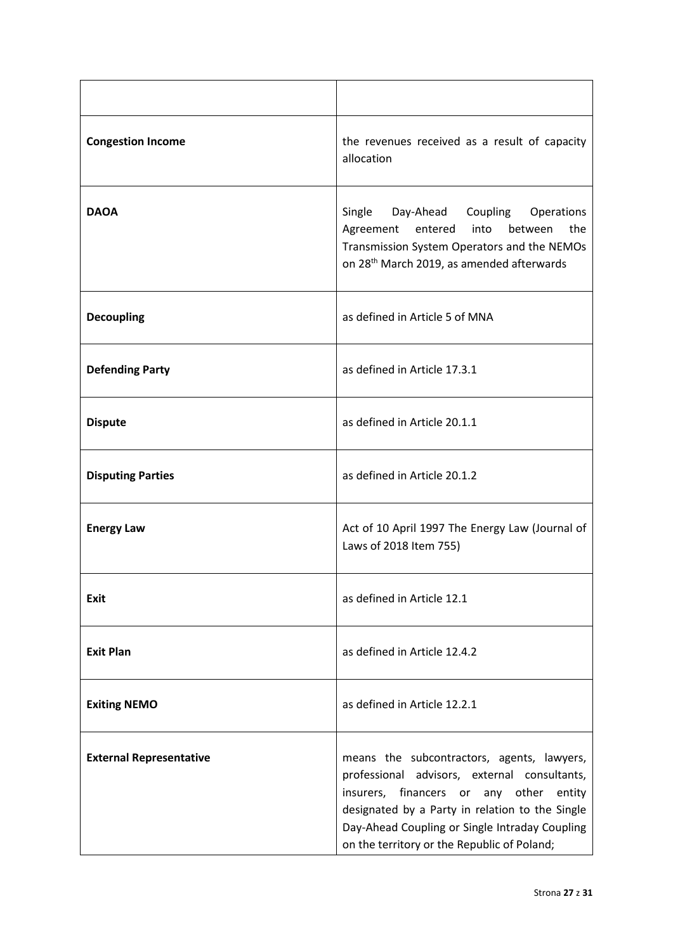| <b>Congestion Income</b>       | the revenues received as a result of capacity<br>allocation                                                                                                                                                                                                                                     |
|--------------------------------|-------------------------------------------------------------------------------------------------------------------------------------------------------------------------------------------------------------------------------------------------------------------------------------------------|
| <b>DAOA</b>                    | Single Day-Ahead Coupling Operations<br>the<br>entered<br>into<br>between<br>Agreement<br>Transmission System Operators and the NEMOs<br>on 28 <sup>th</sup> March 2019, as amended afterwards                                                                                                  |
| <b>Decoupling</b>              | as defined in Article 5 of MNA                                                                                                                                                                                                                                                                  |
| <b>Defending Party</b>         | as defined in Article 17.3.1                                                                                                                                                                                                                                                                    |
| <b>Dispute</b>                 | as defined in Article 20.1.1                                                                                                                                                                                                                                                                    |
| <b>Disputing Parties</b>       | as defined in Article 20.1.2                                                                                                                                                                                                                                                                    |
| <b>Energy Law</b>              | Act of 10 April 1997 The Energy Law (Journal of<br>Laws of 2018 Item 755)                                                                                                                                                                                                                       |
| Exit                           | as defined in Article 12.1                                                                                                                                                                                                                                                                      |
| <b>Exit Plan</b>               | as defined in Article 12.4.2                                                                                                                                                                                                                                                                    |
| <b>Exiting NEMO</b>            | as defined in Article 12.2.1                                                                                                                                                                                                                                                                    |
| <b>External Representative</b> | means the subcontractors, agents, lawyers,<br>professional advisors, external consultants,<br>insurers, financers or<br>any other<br>entity<br>designated by a Party in relation to the Single<br>Day-Ahead Coupling or Single Intraday Coupling<br>on the territory or the Republic of Poland; |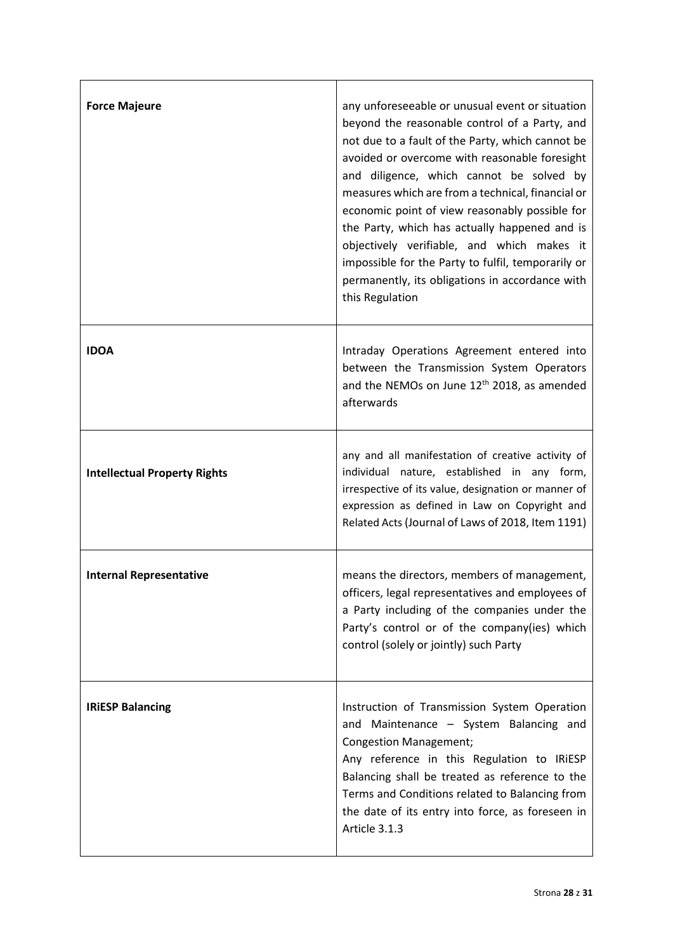| <b>Force Majeure</b>                | any unforeseeable or unusual event or situation<br>beyond the reasonable control of a Party, and<br>not due to a fault of the Party, which cannot be<br>avoided or overcome with reasonable foresight<br>and diligence, which cannot be solved by<br>measures which are from a technical, financial or<br>economic point of view reasonably possible for<br>the Party, which has actually happened and is<br>objectively verifiable, and which makes it<br>impossible for the Party to fulfil, temporarily or<br>permanently, its obligations in accordance with<br>this Regulation |
|-------------------------------------|-------------------------------------------------------------------------------------------------------------------------------------------------------------------------------------------------------------------------------------------------------------------------------------------------------------------------------------------------------------------------------------------------------------------------------------------------------------------------------------------------------------------------------------------------------------------------------------|
| <b>IDOA</b>                         | Intraday Operations Agreement entered into<br>between the Transmission System Operators<br>and the NEMOs on June 12 <sup>th</sup> 2018, as amended<br>afterwards                                                                                                                                                                                                                                                                                                                                                                                                                    |
| <b>Intellectual Property Rights</b> | any and all manifestation of creative activity of<br>individual nature, established in any form,<br>irrespective of its value, designation or manner of<br>expression as defined in Law on Copyright and<br>Related Acts (Journal of Laws of 2018, Item 1191)                                                                                                                                                                                                                                                                                                                       |
| <b>Internal Representative</b>      | means the directors, members of management,<br>officers, legal representatives and employees of<br>a Party including of the companies under the<br>Party's control or of the company(ies) which<br>control (solely or jointly) such Party                                                                                                                                                                                                                                                                                                                                           |
| <b>IRIESP Balancing</b>             | Instruction of Transmission System Operation<br>and Maintenance - System Balancing and<br><b>Congestion Management;</b><br>Any reference in this Regulation to IRiESP<br>Balancing shall be treated as reference to the<br>Terms and Conditions related to Balancing from<br>the date of its entry into force, as foreseen in<br>Article 3.1.3                                                                                                                                                                                                                                      |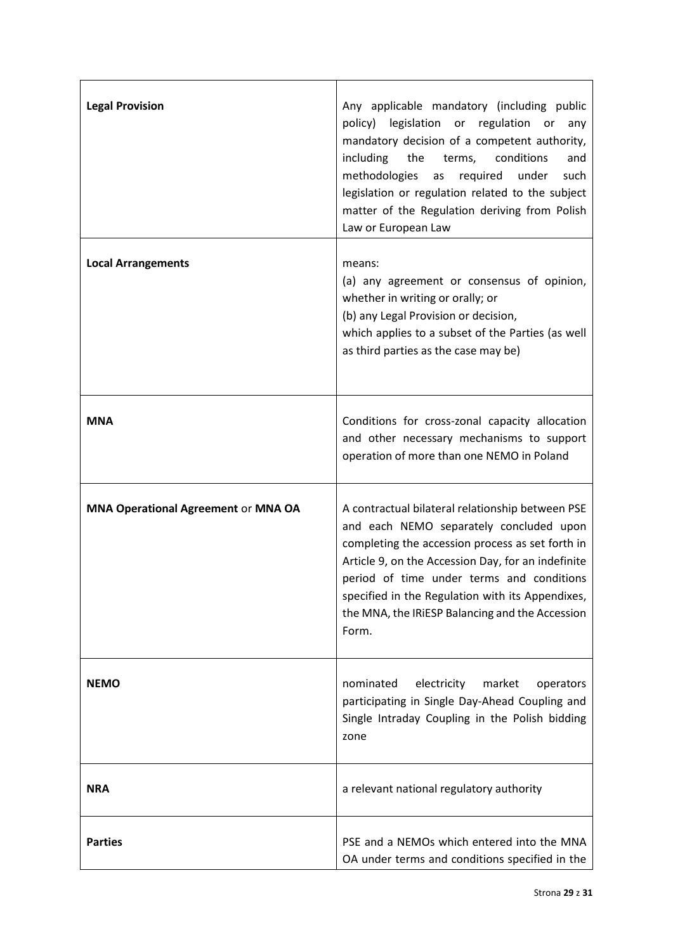| <b>Legal Provision</b>                     | Any applicable mandatory (including public<br>policy) legislation or regulation or<br>any<br>mandatory decision of a competent authority,<br>including<br>the<br>terms,<br>conditions<br>and<br>methodologies<br>required<br>under<br>as<br>such<br>legislation or regulation related to the subject<br>matter of the Regulation deriving from Polish<br>Law or European Law |
|--------------------------------------------|------------------------------------------------------------------------------------------------------------------------------------------------------------------------------------------------------------------------------------------------------------------------------------------------------------------------------------------------------------------------------|
| <b>Local Arrangements</b>                  | means:<br>(a) any agreement or consensus of opinion,<br>whether in writing or orally; or<br>(b) any Legal Provision or decision,<br>which applies to a subset of the Parties (as well<br>as third parties as the case may be)                                                                                                                                                |
| <b>MNA</b>                                 | Conditions for cross-zonal capacity allocation<br>and other necessary mechanisms to support<br>operation of more than one NEMO in Poland                                                                                                                                                                                                                                     |
| <b>MNA Operational Agreement or MNA OA</b> | A contractual bilateral relationship between PSE<br>and each NEMO separately concluded upon<br>completing the accession process as set forth in<br>Article 9, on the Accession Day, for an indefinite<br>period of time under terms and conditions<br>specified in the Regulation with its Appendixes,<br>the MNA, the IRIESP Balancing and the Accession<br>Form.           |
| <b>NEMO</b>                                | nominated<br>electricity<br>market<br>operators<br>participating in Single Day-Ahead Coupling and<br>Single Intraday Coupling in the Polish bidding<br>zone                                                                                                                                                                                                                  |
| <b>NRA</b>                                 | a relevant national regulatory authority                                                                                                                                                                                                                                                                                                                                     |
| <b>Parties</b>                             | PSE and a NEMOs which entered into the MNA<br>OA under terms and conditions specified in the                                                                                                                                                                                                                                                                                 |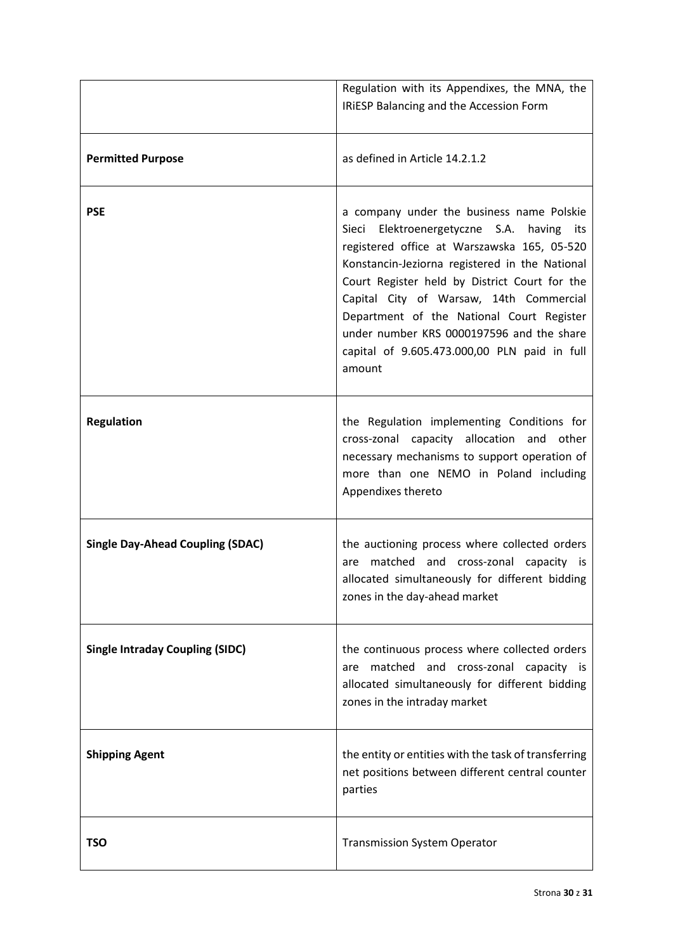|                                         | Regulation with its Appendixes, the MNA, the                                                                                                                                                                                                                                                                                                                                                                                               |
|-----------------------------------------|--------------------------------------------------------------------------------------------------------------------------------------------------------------------------------------------------------------------------------------------------------------------------------------------------------------------------------------------------------------------------------------------------------------------------------------------|
|                                         | IRIESP Balancing and the Accession Form                                                                                                                                                                                                                                                                                                                                                                                                    |
| <b>Permitted Purpose</b>                | as defined in Article 14.2.1.2                                                                                                                                                                                                                                                                                                                                                                                                             |
| <b>PSE</b>                              | a company under the business name Polskie<br>Sieci Elektroenergetyczne S.A. having<br>its<br>registered office at Warszawska 165, 05-520<br>Konstancin-Jeziorna registered in the National<br>Court Register held by District Court for the<br>Capital City of Warsaw, 14th Commercial<br>Department of the National Court Register<br>under number KRS 0000197596 and the share<br>capital of 9.605.473.000,00 PLN paid in full<br>amount |
| <b>Regulation</b>                       | the Regulation implementing Conditions for<br>cross-zonal capacity allocation and<br>other<br>necessary mechanisms to support operation of<br>more than one NEMO in Poland including<br>Appendixes thereto                                                                                                                                                                                                                                 |
| <b>Single Day-Ahead Coupling (SDAC)</b> | the auctioning process where collected orders<br>matched and cross-zonal capacity is<br>are<br>allocated simultaneously for different bidding<br>zones in the day-ahead market                                                                                                                                                                                                                                                             |
| <b>Single Intraday Coupling (SIDC)</b>  | the continuous process where collected orders<br>matched and cross-zonal capacity is<br>are<br>allocated simultaneously for different bidding<br>zones in the intraday market                                                                                                                                                                                                                                                              |
| <b>Shipping Agent</b>                   | the entity or entities with the task of transferring<br>net positions between different central counter<br>parties                                                                                                                                                                                                                                                                                                                         |
| <b>TSO</b>                              | <b>Transmission System Operator</b>                                                                                                                                                                                                                                                                                                                                                                                                        |